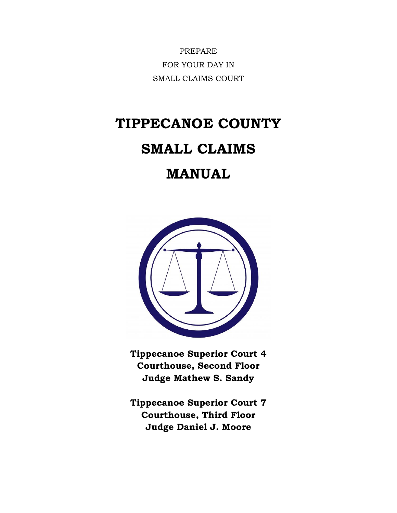PREPARE FOR YOUR DAY IN SMALL CLAIMS COURT

# **TIPPECANOE COUNTY**

# **SMALL CLAIMS**

# **MANUAL**



**Tippecanoe Superior Court 4 Courthouse, Second Floor Judge Mathew S. Sandy**

**Tippecanoe Superior Court 7 Courthouse, Third Floor Judge Daniel J. Moore**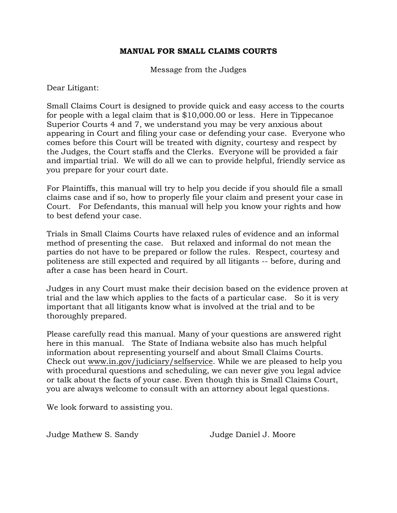#### **MANUAL FOR SMALL CLAIMS COURTS**

Message from the Judges

Dear Litigant:

Small Claims Court is designed to provide quick and easy access to the courts for people with a legal claim that is \$10,000.00 or less. Here in Tippecanoe Superior Courts 4 and 7, we understand you may be very anxious about appearing in Court and filing your case or defending your case. Everyone who comes before this Court will be treated with dignity, courtesy and respect by the Judges, the Court staffs and the Clerks. Everyone will be provided a fair and impartial trial. We will do all we can to provide helpful, friendly service as you prepare for your court date.

For Plaintiffs, this manual will try to help you decide if you should file a small claims case and if so, how to properly file your claim and present your case in Court. For Defendants, this manual will help you know your rights and how to best defend your case.

Trials in Small Claims Courts have relaxed rules of evidence and an informal method of presenting the case. But relaxed and informal do not mean the parties do not have to be prepared or follow the rules. Respect, courtesy and politeness are still expected and required by all litigants -- before, during and after a case has been heard in Court.

Judges in any Court must make their decision based on the evidence proven at trial and the law which applies to the facts of a particular case. So it is very important that all litigants know what is involved at the trial and to be thoroughly prepared.

Please carefully read this manual. Many of your questions are answered right here in this manual. The State of Indiana website also has much helpful information about representing yourself and about Small Claims Courts. Check out www.in.gov/judiciary/selfservice. While we are pleased to help you with procedural questions and scheduling, we can never give you legal advice or talk about the facts of your case. Even though this is Small Claims Court, you are always welcome to consult with an attorney about legal questions.

We look forward to assisting you.

Judge Mathew S. Sandy Judge Daniel J. Moore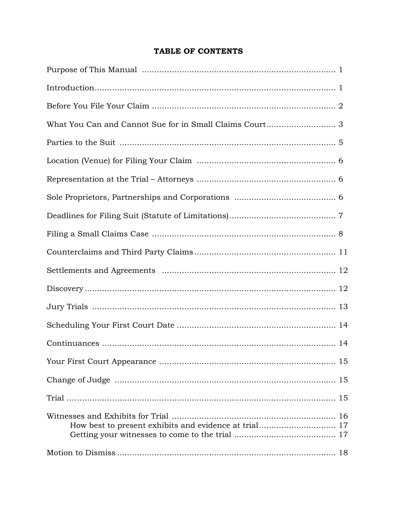# TABLE OF CONTENTS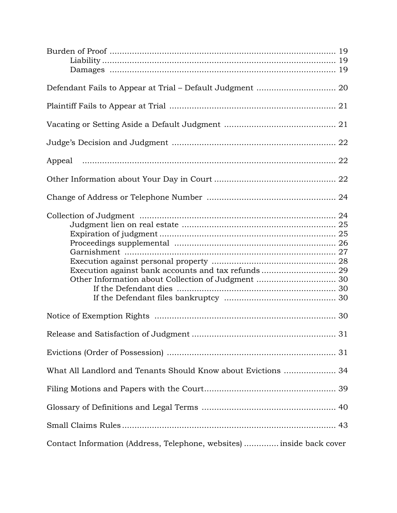| Appeal                                                                                                    |
|-----------------------------------------------------------------------------------------------------------|
|                                                                                                           |
|                                                                                                           |
| Execution against bank accounts and tax refunds  29<br>Other Information about Collection of Judgment  30 |
|                                                                                                           |
|                                                                                                           |
|                                                                                                           |
| What All Landlord and Tenants Should Know about Evictions  34                                             |
|                                                                                                           |
|                                                                                                           |
|                                                                                                           |
| Contact Information (Address, Telephone, websites)  inside back cover                                     |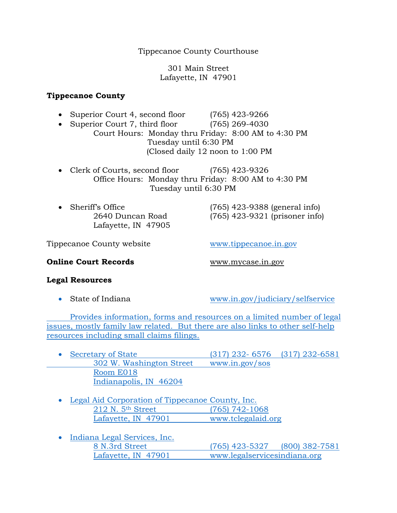Tippecanoe County Courthouse

301 Main Street Lafayette, IN 47901

#### **Tippecanoe County**

- Superior Court 4, second floor (765) 423-9266
- Superior Court 7, third floor (765) 269-4030 Court Hours: Monday thru Friday: 8:00 AM to 4:30 PM Tuesday until 6:30 PM (Closed daily 12 noon to 1:00 PM
- Clerk of Courts, second floor (765) 423-9326 Office Hours: Monday thru Friday: 8:00 AM to 4:30 PM Tuesday until 6:30 PM
- Sheriff's Office (765) 423-9388 (general info) 2640 Duncan Road (765) 423-9321 (prisoner info) Lafayette, IN 47905

Tippecanoe County website [www.tippecanoe.in.gov](http://www.tippecanoe.in.gov/)

#### **Online Court Records** www.mycase.in.gov

# **Legal Resources**

• State of Indiana [www.in.gov/judiciary/selfservice](http://www.in.gov/judiciary/selfservice/)

Provides information, forms and resources on a limited number of legal issues, mostly family law related. But there are also links to other self-help resources including small claims filings.

- Secretary of State [\(317\)](http://www.in.gov/sos) 232- 6576 (317) 232- 6581 302 W. Washington Street [www.in.gov/sos](http://www.in.gov/sos) Room E018 Indianapolis, IN 46204
	- Legal Aid Corporation of Tippecanoe County, Inc. 212 N. 5th Street (765) 742-1068 Lafayette, IN 47901 [www.tclegalaid.org](http://www.tclegalaid.org/)
	- Indiana Legal Services, Inc. 8 N.3rd Street (765) 423-5327 (800) 382-7581 Lafayette, IN 47901 [www.legalservicesindiana.org](http://www.legalservicesindiana.org/)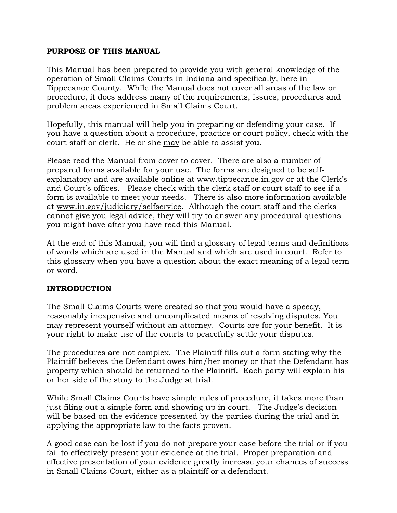#### **PURPOSE OF THIS MANUAL**

This Manual has been prepared to provide you with general knowledge of the operation of Small Claims Courts in Indiana and specifically, here in Tippecanoe County. While the Manual does not cover all areas of the law or procedure, it does address many of the requirements, issues, procedures and problem areas experienced in Small Claims Court.

Hopefully, this manual will help you in preparing or defending your case. If you have a question about a procedure, practice or court policy, check with the court staff or clerk. He or she may be able to assist you.

Please read the Manual from cover to cover. There are also a number of prepared forms available for your use. The forms are designed to be selfexplanatory and are available online at www.tippecanoe.in.gov or at the Clerk's and Court's offices. Please check with the clerk staff or court staff to see if a form is available to meet your needs. There is also more information available at www.in.gov/judiciary/selfservice. Although the court staff and the clerks cannot give you legal advice, they will try to answer any procedural questions you might have after you have read this Manual.

At the end of this Manual, you will find a glossary of legal terms and definitions of words which are used in the Manual and which are used in court. Refer to this glossary when you have a question about the exact meaning of a legal term or word.

#### **INTRODUCTION**

The Small Claims Courts were created so that you would have a speedy, reasonably inexpensive and uncomplicated means of resolving disputes. You may represent yourself without an attorney. Courts are for your benefit. It is your right to make use of the courts to peacefully settle your disputes.

The procedures are not complex. The Plaintiff fills out a form stating why the Plaintiff believes the Defendant owes him/her money or that the Defendant has property which should be returned to the Plaintiff. Each party will explain his or her side of the story to the Judge at trial.

While Small Claims Courts have simple rules of procedure, it takes more than just filing out a simple form and showing up in court. The Judge's decision will be based on the evidence presented by the parties during the trial and in applying the appropriate law to the facts proven.

A good case can be lost if you do not prepare your case before the trial or if you fail to effectively present your evidence at the trial. Proper preparation and effective presentation of your evidence greatly increase your chances of success in Small Claims Court, either as a plaintiff or a defendant.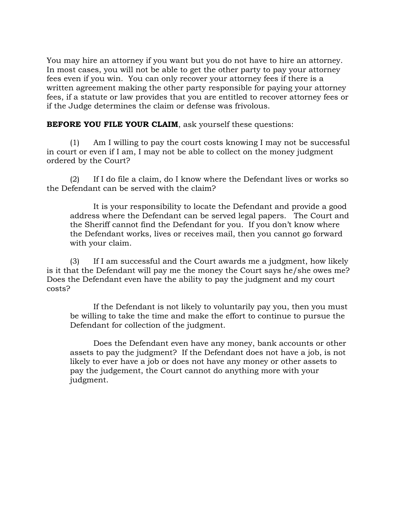You may hire an attorney if you want but you do not have to hire an attorney. In most cases, you will not be able to get the other party to pay your attorney fees even if you win. You can only recover your attorney fees if there is a written agreement making the other party responsible for paying your attorney fees, if a statute or law provides that you are entitled to recover attorney fees or if the Judge determines the claim or defense was frivolous.

#### **BEFORE YOU FILE YOUR CLAIM**, ask yourself these questions:

(1) Am I willing to pay the court costs knowing I may not be successful in court or even if I am, I may not be able to collect on the money judgment ordered by the Court?

(2) If I do file a claim, do I know where the Defendant lives or works so the Defendant can be served with the claim?

It is your responsibility to locate the Defendant and provide a good address where the Defendant can be served legal papers. The Court and the Sheriff cannot find the Defendant for you. If you don't know where the Defendant works, lives or receives mail, then you cannot go forward with your claim.

(3) If I am successful and the Court awards me a judgment, how likely is it that the Defendant will pay me the money the Court says he/she owes me? Does the Defendant even have the ability to pay the judgment and my court costs?

If the Defendant is not likely to voluntarily pay you, then you must be willing to take the time and make the effort to continue to pursue the Defendant for collection of the judgment.

Does the Defendant even have any money, bank accounts or other assets to pay the judgment? If the Defendant does not have a job, is not likely to ever have a job or does not have any money or other assets to pay the judgement, the Court cannot do anything more with your judgment.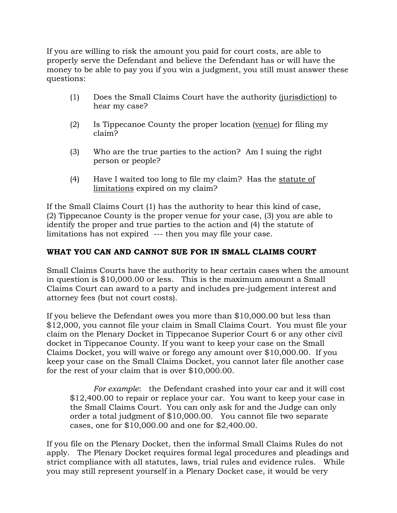If you are willing to risk the amount you paid for court costs, are able to properly serve the Defendant and believe the Defendant has or will have the money to be able to pay you if you win a judgment, you still must answer these questions:

- (1) Does the Small Claims Court have the authority (jurisdiction) to hear my case?
- (2) Is Tippecanoe County the proper location (venue) for filing my claim?
- (3) Who are the true parties to the action? Am I suing the right person or people?
- (4) Have I waited too long to file my claim? Has the statute of limitations expired on my claim?

If the Small Claims Court (1) has the authority to hear this kind of case, (2) Tippecanoe County is the proper venue for your case, (3) you are able to identify the proper and true parties to the action and (4) the statute of limitations has not expired --- then you may file your case.

# **WHAT YOU CAN AND CANNOT SUE FOR IN SMALL CLAIMS COURT**

Small Claims Courts have the authority to hear certain cases when the amount in question is \$10,000.00 or less. This is the maximum amount a Small Claims Court can award to a party and includes pre-judgement interest and attorney fees (but not court costs).

If you believe the Defendant owes you more than \$10,000.00 but less than \$12,000, you cannot file your claim in Small Claims Court. You must file your claim on the Plenary Docket in Tippecanoe Superior Court 6 or any other civil docket in Tippecanoe County. If you want to keep your case on the Small Claims Docket, you will waive or forego any amount over \$10,000.00. If you keep your case on the Small Claims Docket, you cannot later file another case for the rest of your claim that is over \$10,000.00.

*For example*: the Defendant crashed into your car and it will cost \$12,400.00 to repair or replace your car. You want to keep your case in the Small Claims Court. You can only ask for and the Judge can only order a total judgment of \$10,000.00. You cannot file two separate cases, one for \$10,000.00 and one for \$2,400.00.

If you file on the Plenary Docket, then the informal Small Claims Rules do not apply. The Plenary Docket requires formal legal procedures and pleadings and strict compliance with all statutes, laws, trial rules and evidence rules. While you may still represent yourself in a Plenary Docket case, it would be very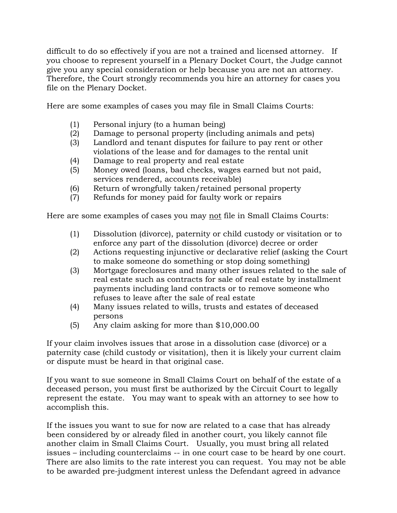difficult to do so effectively if you are not a trained and licensed attorney. If you choose to represent yourself in a Plenary Docket Court, the Judge cannot give you any special consideration or help because you are not an attorney. Therefore, the Court strongly recommends you hire an attorney for cases you file on the Plenary Docket.

Here are some examples of cases you may file in Small Claims Courts:

- (1) Personal injury (to a human being)
- (2) Damage to personal property (including animals and pets)
- (3) Landlord and tenant disputes for failure to pay rent or other violations of the lease and for damages to the rental unit
- (4) Damage to real property and real estate
- (5) Money owed (loans, bad checks, wages earned but not paid, services rendered, accounts receivable)
- (6) Return of wrongfully taken/retained personal property
- (7) Refunds for money paid for faulty work or repairs

Here are some examples of cases you may not file in Small Claims Courts:

- (1) Dissolution (divorce), paternity or child custody or visitation or to enforce any part of the dissolution (divorce) decree or order
- (2) Actions requesting injunctive or declarative relief (asking the Court to make someone do something or stop doing something)
- (3) Mortgage foreclosures and many other issues related to the sale of real estate such as contracts for sale of real estate by installment payments including land contracts or to remove someone who refuses to leave after the sale of real estate
- (4) Many issues related to wills, trusts and estates of deceased persons
- (5) Any claim asking for more than \$10,000.00

If your claim involves issues that arose in a dissolution case (divorce) or a paternity case (child custody or visitation), then it is likely your current claim or dispute must be heard in that original case.

If you want to sue someone in Small Claims Court on behalf of the estate of a deceased person, you must first be authorized by the Circuit Court to legally represent the estate. You may want to speak with an attorney to see how to accomplish this.

If the issues you want to sue for now are related to a case that has already been considered by or already filed in another court, you likely cannot file another claim in Small Claims Court. Usually, you must bring all related issues – including counterclaims -- in one court case to be heard by one court. There are also limits to the rate interest you can request. You may not be able to be awarded pre-judgment interest unless the Defendant agreed in advance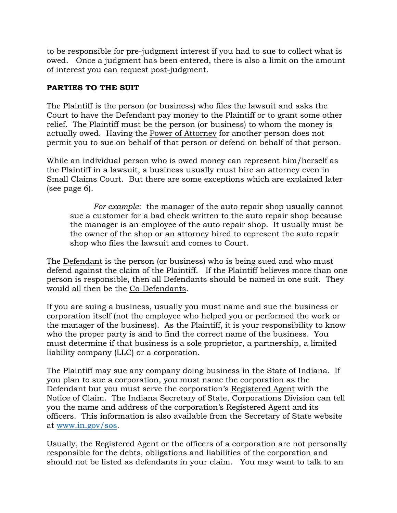to be responsible for pre-judgment interest if you had to sue to collect what is owed. Once a judgment has been entered, there is also a limit on the amount of interest you can request post-judgment.

#### **PARTIES TO THE SUIT**

The Plaintiff is the person (or business) who files the lawsuit and asks the Court to have the Defendant pay money to the Plaintiff or to grant some other relief. The Plaintiff must be the person (or business) to whom the money is actually owed. Having the Power of Attorney for another person does not permit you to sue on behalf of that person or defend on behalf of that person.

While an individual person who is owed money can represent him/herself as the Plaintiff in a lawsuit, a business usually must hire an attorney even in Small Claims Court. But there are some exceptions which are explained later (see page 6).

*For example*: the manager of the auto repair shop usually cannot sue a customer for a bad check written to the auto repair shop because the manager is an employee of the auto repair shop. It usually must be the owner of the shop or an attorney hired to represent the auto repair shop who files the lawsuit and comes to Court.

The Defendant is the person (or business) who is being sued and who must defend against the claim of the Plaintiff. If the Plaintiff believes more than one person is responsible, then all Defendants should be named in one suit. They would all then be the Co-Defendants.

If you are suing a business, usually you must name and sue the business or corporation itself (not the employee who helped you or performed the work or the manager of the business). As the Plaintiff, it is your responsibility to know who the proper party is and to find the correct name of the business. You must determine if that business is a sole proprietor, a partnership, a limited liability company (LLC) or a corporation.

The Plaintiff may sue any company doing business in the State of Indiana. If you plan to sue a corporation, you must name the corporation as the Defendant but you must serve the corporation's Registered Agent with the Notice of Claim. The Indiana Secretary of State, Corporations Division can tell you the name and address of the corporation's Registered Agent and its officers. This information is also available from the Secretary of State website at [www.in.gov/sos.](http://www.in.gov/sos/)

Usually, the Registered Agent or the officers of a corporation are not personally responsible for the debts, obligations and liabilities of the corporation and should not be listed as defendants in your claim. You may want to talk to an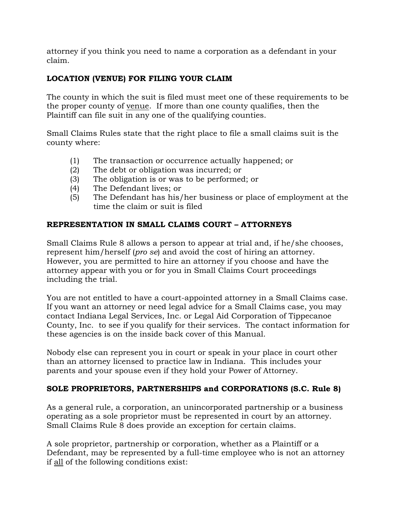attorney if you think you need to name a corporation as a defendant in your claim.

# **LOCATION (VENUE) FOR FILING YOUR CLAIM**

The county in which the suit is filed must meet one of these requirements to be the proper county of venue. If more than one county qualifies, then the Plaintiff can file suit in any one of the qualifying counties.

Small Claims Rules state that the right place to file a small claims suit is the county where:

- (1) The transaction or occurrence actually happened; or
- (2) The debt or obligation was incurred; or
- (3) The obligation is or was to be performed; or
- (4) The Defendant lives; or
- (5) The Defendant has his/her business or place of employment at the time the claim or suit is filed

# **REPRESENTATION IN SMALL CLAIMS COURT – ATTORNEYS**

Small Claims Rule 8 allows a person to appear at trial and, if he/she chooses, represent him/herself (*pro se*) and avoid the cost of hiring an attorney. However, you are permitted to hire an attorney if you choose and have the attorney appear with you or for you in Small Claims Court proceedings including the trial.

You are not entitled to have a court-appointed attorney in a Small Claims case. If you want an attorney or need legal advice for a Small Claims case, you may contact Indiana Legal Services, Inc. or Legal Aid Corporation of Tippecanoe County, Inc. to see if you qualify for their services. The contact information for these agencies is on the inside back cover of this Manual.

Nobody else can represent you in court or speak in your place in court other than an attorney licensed to practice law in Indiana. This includes your parents and your spouse even if they hold your Power of Attorney.

# **SOLE PROPRIETORS, PARTNERSHIPS and CORPORATIONS (S.C. Rule 8)**

As a general rule, a corporation, an unincorporated partnership or a business operating as a sole proprietor must be represented in court by an attorney. Small Claims Rule 8 does provide an exception for certain claims.

A sole proprietor, partnership or corporation, whether as a Plaintiff or a Defendant, may be represented by a full-time employee who is not an attorney if all of the following conditions exist: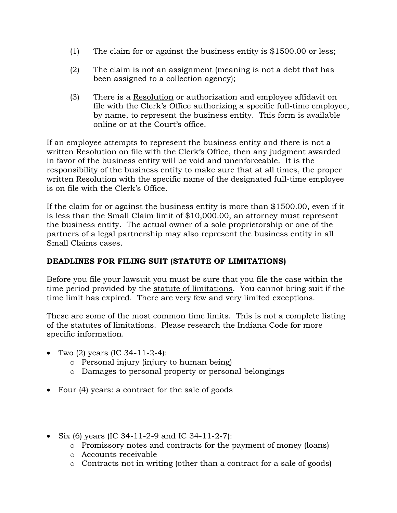- (1) The claim for or against the business entity is \$1500.00 or less;
- (2) The claim is not an assignment (meaning is not a debt that has been assigned to a collection agency);
- (3) There is a Resolution or authorization and employee affidavit on file with the Clerk's Office authorizing a specific full-time employee, by name, to represent the business entity. This form is available online or at the Court's office.

If an employee attempts to represent the business entity and there is not a written Resolution on file with the Clerk's Office, then any judgment awarded in favor of the business entity will be void and unenforceable. It is the responsibility of the business entity to make sure that at all times, the proper written Resolution with the specific name of the designated full-time employee is on file with the Clerk's Office.

If the claim for or against the business entity is more than \$1500.00, even if it is less than the Small Claim limit of \$10,000.00, an attorney must represent the business entity. The actual owner of a sole proprietorship or one of the partners of a legal partnership may also represent the business entity in all Small Claims cases.

# **DEADLINES FOR FILING SUIT (STATUTE OF LIMITATIONS)**

Before you file your lawsuit you must be sure that you file the case within the time period provided by the statute of limitations. You cannot bring suit if the time limit has expired. There are very few and very limited exceptions.

These are some of the most common time limits. This is not a complete listing of the statutes of limitations. Please research the Indiana Code for more specific information.

- Two  $(2)$  years  $(IC 34-11-2-4)$ :
	- o Personal injury (injury to human being)
	- o Damages to personal property or personal belongings
- Four (4) years: a contract for the sale of goods
- Six (6) years (IC 34-11-2-9 and IC 34-11-2-7):
	- o Promissory notes and contracts for the payment of money (loans)
	- o Accounts receivable
	- o Contracts not in writing (other than a contract for a sale of goods)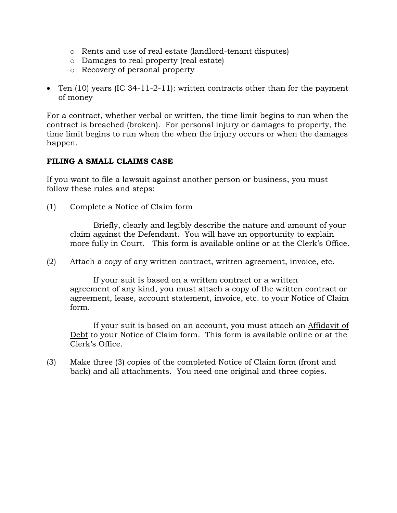- o Rents and use of real estate (landlord-tenant disputes)
- o Damages to real property (real estate)
- o Recovery of personal property
- Ten (10) years (IC 34-11-2-11): written contracts other than for the payment of money

For a contract, whether verbal or written, the time limit begins to run when the contract is breached (broken). For personal injury or damages to property, the time limit begins to run when the when the injury occurs or when the damages happen.

#### **FILING A SMALL CLAIMS CASE**

If you want to file a lawsuit against another person or business, you must follow these rules and steps:

(1) Complete a Notice of Claim form

Briefly, clearly and legibly describe the nature and amount of your claim against the Defendant. You will have an opportunity to explain more fully in Court. This form is available online or at the Clerk's Office.

(2) Attach a copy of any written contract, written agreement, invoice, etc.

If your suit is based on a written contract or a written agreement of any kind, you must attach a copy of the written contract or agreement, lease, account statement, invoice, etc. to your Notice of Claim form.

If your suit is based on an account, you must attach an Affidavit of Debt to your Notice of Claim form. This form is available online or at the Clerk's Office.

(3) Make three (3) copies of the completed Notice of Claim form (front and back) and all attachments. You need one original and three copies.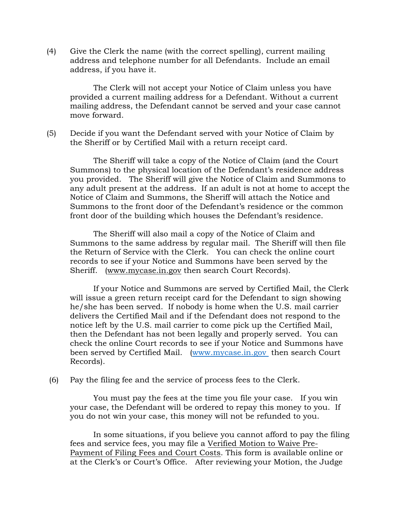(4) Give the Clerk the name (with the correct spelling), current mailing address and telephone number for all Defendants. Include an email address, if you have it.

The Clerk will not accept your Notice of Claim unless you have provided a current mailing address for a Defendant. Without a current mailing address, the Defendant cannot be served and your case cannot move forward.

(5) Decide if you want the Defendant served with your Notice of Claim by the Sheriff or by Certified Mail with a return receipt card.

The Sheriff will take a copy of the Notice of Claim (and the Court Summons) to the physical location of the Defendant's residence address you provided. The Sheriff will give the Notice of Claim and Summons to any adult present at the address. If an adult is not at home to accept the Notice of Claim and Summons, the Sheriff will attach the Notice and Summons to the front door of the Defendant's residence or the common front door of the building which houses the Defendant's residence.

The Sheriff will also mail a copy of the Notice of Claim and Summons to the same address by regular mail. The Sheriff will then file the Return of Service with the Clerk. You can check the online court records to see if your Notice and Summons have been served by the Sheriff. (www.mycase.in.gov then search Court Records).

If your Notice and Summons are served by Certified Mail, the Clerk will issue a green return receipt card for the Defendant to sign showing he/she has been served. If nobody is home when the U.S. mail carrier delivers the Certified Mail and if the Defendant does not respond to the notice left by the U.S. mail carrier to come pick up the Certified Mail, then the Defendant has not been legally and properly served. You can check the online Court records to see if your Notice and Summons have been served by Certified Mail. [\(www.mycase.in.gov](http://www.mycase.in.gov/) then search Court Records).

(6) Pay the filing fee and the service of process fees to the Clerk.

You must pay the fees at the time you file your case. If you win your case, the Defendant will be ordered to repay this money to you. If you do not win your case, this money will not be refunded to you.

In some situations, if you believe you cannot afford to pay the filing fees and service fees, you may file a Verified Motion to Waive Pre-Payment of Filing Fees and Court Costs. This form is available online or at the Clerk's or Court's Office. After reviewing your Motion, the Judge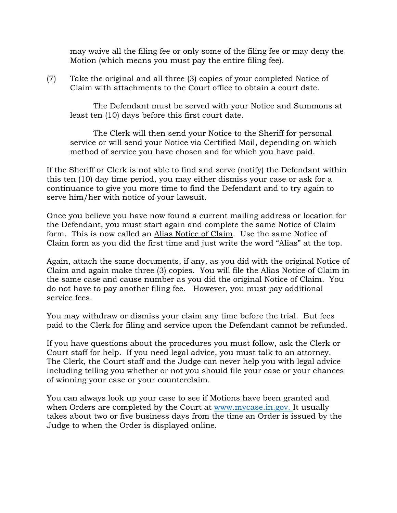may waive all the filing fee or only some of the filing fee or may deny the Motion (which means you must pay the entire filing fee).

(7) Take the original and all three (3) copies of your completed Notice of Claim with attachments to the Court office to obtain a court date.

The Defendant must be served with your Notice and Summons at least ten (10) days before this first court date.

The Clerk will then send your Notice to the Sheriff for personal service or will send your Notice via Certified Mail, depending on which method of service you have chosen and for which you have paid.

If the Sheriff or Clerk is not able to find and serve (notify) the Defendant within this ten (10) day time period, you may either dismiss your case or ask for a continuance to give you more time to find the Defendant and to try again to serve him/her with notice of your lawsuit.

Once you believe you have now found a current mailing address or location for the Defendant, you must start again and complete the same Notice of Claim form. This is now called an Alias Notice of Claim. Use the same Notice of Claim form as you did the first time and just write the word "Alias" at the top.

Again, attach the same documents, if any, as you did with the original Notice of Claim and again make three (3) copies. You will file the Alias Notice of Claim in the same case and cause number as you did the original Notice of Claim. You do not have to pay another filing fee. However, you must pay additional service fees.

You may withdraw or dismiss your claim any time before the trial. But fees paid to the Clerk for filing and service upon the Defendant cannot be refunded.

If you have questions about the procedures you must follow, ask the Clerk or Court staff for help. If you need legal advice, you must talk to an attorney. The Clerk, the Court staff and the Judge can never help you with legal advice including telling you whether or not you should file your case or your chances of winning your case or your counterclaim.

You can always look up your case to see if Motions have been granted and when Orders are completed by the Court at [www.mycase.in.gov.](http://www.tippecanoe.in.gov/) It usually takes about two or five business days from the time an Order is issued by the Judge to when the Order is displayed online.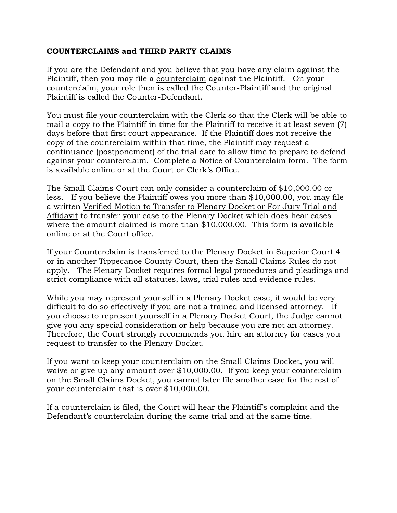#### **COUNTERCLAIMS and THIRD PARTY CLAIMS**

If you are the Defendant and you believe that you have any claim against the Plaintiff, then you may file a counterclaim against the Plaintiff. On your counterclaim, your role then is called the Counter-Plaintiff and the original Plaintiff is called the Counter-Defendant.

You must file your counterclaim with the Clerk so that the Clerk will be able to mail a copy to the Plaintiff in time for the Plaintiff to receive it at least seven (7) days before that first court appearance. If the Plaintiff does not receive the copy of the counterclaim within that time, the Plaintiff may request a continuance (postponement) of the trial date to allow time to prepare to defend against your counterclaim. Complete a Notice of Counterclaim form. The form is available online or at the Court or Clerk's Office.

The Small Claims Court can only consider a counterclaim of \$10,000.00 or less. If you believe the Plaintiff owes you more than \$10,000.00, you may file a written Verified Motion to Transfer to Plenary Docket or For Jury Trial and Affidavit to transfer your case to the Plenary Docket which does hear cases where the amount claimed is more than \$10,000.00. This form is available online or at the Court office.

If your Counterclaim is transferred to the Plenary Docket in Superior Court 4 or in another Tippecanoe County Court, then the Small Claims Rules do not apply. The Plenary Docket requires formal legal procedures and pleadings and strict compliance with all statutes, laws, trial rules and evidence rules.

While you may represent yourself in a Plenary Docket case, it would be very difficult to do so effectively if you are not a trained and licensed attorney. If you choose to represent yourself in a Plenary Docket Court, the Judge cannot give you any special consideration or help because you are not an attorney. Therefore, the Court strongly recommends you hire an attorney for cases you request to transfer to the Plenary Docket.

If you want to keep your counterclaim on the Small Claims Docket, you will waive or give up any amount over \$10,000.00. If you keep your counterclaim on the Small Claims Docket, you cannot later file another case for the rest of your counterclaim that is over \$10,000.00.

If a counterclaim is filed, the Court will hear the Plaintiff's complaint and the Defendant's counterclaim during the same trial and at the same time.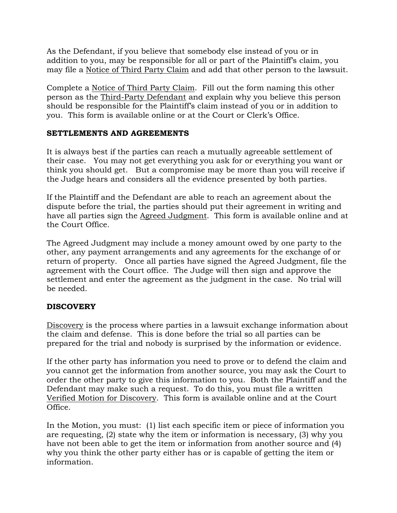As the Defendant, if you believe that somebody else instead of you or in addition to you, may be responsible for all or part of the Plaintiff's claim, you may file a Notice of Third Party Claim and add that other person to the lawsuit.

Complete a Notice of Third Party Claim. Fill out the form naming this other person as the Third-Party Defendant and explain why you believe this person should be responsible for the Plaintiff's claim instead of you or in addition to you. This form is available online or at the Court or Clerk's Office.

#### **SETTLEMENTS AND AGREEMENTS**

It is always best if the parties can reach a mutually agreeable settlement of their case. You may not get everything you ask for or everything you want or think you should get. But a compromise may be more than you will receive if the Judge hears and considers all the evidence presented by both parties.

If the Plaintiff and the Defendant are able to reach an agreement about the dispute before the trial, the parties should put their agreement in writing and have all parties sign the Agreed Judgment. This form is available online and at the Court Office.

The Agreed Judgment may include a money amount owed by one party to the other, any payment arrangements and any agreements for the exchange of or return of property. Once all parties have signed the Agreed Judgment, file the agreement with the Court office. The Judge will then sign and approve the settlement and enter the agreement as the judgment in the case. No trial will be needed.

# **DISCOVERY**

Discovery is the process where parties in a lawsuit exchange information about the claim and defense. This is done before the trial so all parties can be prepared for the trial and nobody is surprised by the information or evidence.

If the other party has information you need to prove or to defend the claim and you cannot get the information from another source, you may ask the Court to order the other party to give this information to you. Both the Plaintiff and the Defendant may make such a request. To do this, you must file a written Verified Motion for Discovery. This form is available online and at the Court Office.

In the Motion, you must: (1) list each specific item or piece of information you are requesting, (2) state why the item or information is necessary, (3) why you have not been able to get the item or information from another source and (4) why you think the other party either has or is capable of getting the item or information.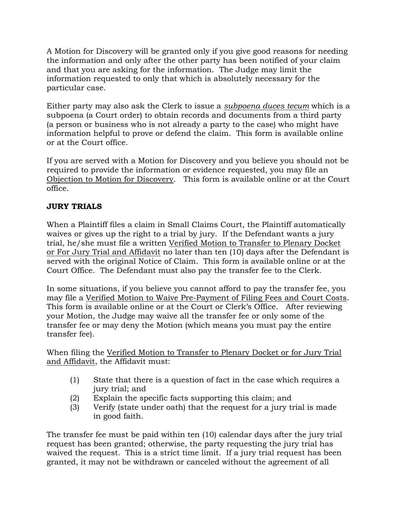A Motion for Discovery will be granted only if you give good reasons for needing the information and only after the other party has been notified of your claim and that you are asking for the information. The Judge may limit the information requested to only that which is absolutely necessary for the particular case.

Either party may also ask the Clerk to issue a *subpoena duces tecum* which is a subpoena (a Court order) to obtain records and documents from a third party (a person or business who is not already a party to the case) who might have information helpful to prove or defend the claim. This form is available online or at the Court office.

If you are served with a Motion for Discovery and you believe you should not be required to provide the information or evidence requested, you may file an Objection to Motion for Discovery. This form is available online or at the Court office.

# **JURY TRIALS**

When a Plaintiff files a claim in Small Claims Court, the Plaintiff automatically waives or gives up the right to a trial by jury. If the Defendant wants a jury trial, he/she must file a written Verified Motion to Transfer to Plenary Docket or For Jury Trial and Affidavit no later than ten (10) days after the Defendant is served with the original Notice of Claim. This form is available online or at the Court Office. The Defendant must also pay the transfer fee to the Clerk.

In some situations, if you believe you cannot afford to pay the transfer fee, you may file a Verified Motion to Waive Pre-Payment of Filing Fees and Court Costs. This form is available online or at the Court or Clerk's Office. After reviewing your Motion, the Judge may waive all the transfer fee or only some of the transfer fee or may deny the Motion (which means you must pay the entire transfer fee).

When filing the Verified Motion to Transfer to Plenary Docket or for Jury Trial and Affidavit, the Affidavit must:

- (1) State that there is a question of fact in the case which requires a jury trial; and
- (2) Explain the specific facts supporting this claim; and
- (3) Verify (state under oath) that the request for a jury trial is made in good faith.

The transfer fee must be paid within ten (10) calendar days after the jury trial request has been granted; otherwise, the party requesting the jury trial has waived the request. This is a strict time limit. If a jury trial request has been granted, it may not be withdrawn or canceled without the agreement of all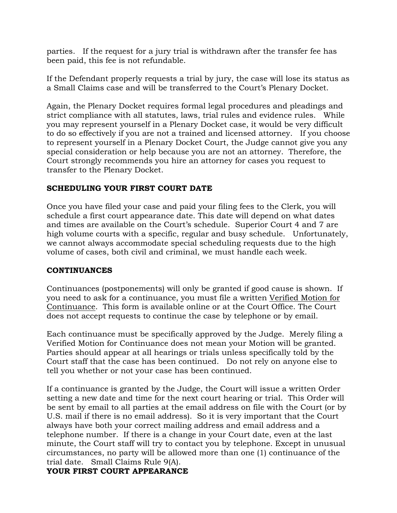parties. If the request for a jury trial is withdrawn after the transfer fee has been paid, this fee is not refundable.

If the Defendant properly requests a trial by jury, the case will lose its status as a Small Claims case and will be transferred to the Court's Plenary Docket.

Again, the Plenary Docket requires formal legal procedures and pleadings and strict compliance with all statutes, laws, trial rules and evidence rules. While you may represent yourself in a Plenary Docket case, it would be very difficult to do so effectively if you are not a trained and licensed attorney. If you choose to represent yourself in a Plenary Docket Court, the Judge cannot give you any special consideration or help because you are not an attorney. Therefore, the Court strongly recommends you hire an attorney for cases you request to transfer to the Plenary Docket.

# **SCHEDULING YOUR FIRST COURT DATE**

Once you have filed your case and paid your filing fees to the Clerk, you will schedule a first court appearance date. This date will depend on what dates and times are available on the Court's schedule. Superior Court 4 and 7 are high volume courts with a specific, regular and busy schedule. Unfortunately, we cannot always accommodate special scheduling requests due to the high volume of cases, both civil and criminal, we must handle each week.

#### **CONTINUANCES**

Continuances (postponements) will only be granted if good cause is shown. If you need to ask for a continuance, you must file a written Verified Motion for Continuance. This form is available online or at the Court Office. The Court does not accept requests to continue the case by telephone or by email.

Each continuance must be specifically approved by the Judge. Merely filing a Verified Motion for Continuance does not mean your Motion will be granted. Parties should appear at all hearings or trials unless specifically told by the Court staff that the case has been continued. Do not rely on anyone else to tell you whether or not your case has been continued.

If a continuance is granted by the Judge, the Court will issue a written Order setting a new date and time for the next court hearing or trial. This Order will be sent by email to all parties at the email address on file with the Court (or by U.S. mail if there is no email address). So it is very important that the Court always have both your correct mailing address and email address and a telephone number. If there is a change in your Court date, even at the last minute, the Court staff will try to contact you by telephone. Except in unusual circumstances, no party will be allowed more than one (1) continuance of the trial date. Small Claims Rule 9(A).

# **YOUR FIRST COURT APPEARANCE**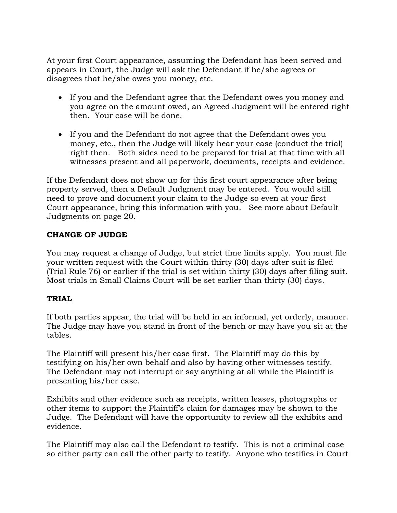At your first Court appearance, assuming the Defendant has been served and appears in Court, the Judge will ask the Defendant if he/she agrees or disagrees that he/she owes you money, etc.

- If you and the Defendant agree that the Defendant owes you money and you agree on the amount owed, an Agreed Judgment will be entered right then. Your case will be done.
- If you and the Defendant do not agree that the Defendant owes you money, etc., then the Judge will likely hear your case (conduct the trial) right then. Both sides need to be prepared for trial at that time with all witnesses present and all paperwork, documents, receipts and evidence.

If the Defendant does not show up for this first court appearance after being property served, then a Default Judgment may be entered. You would still need to prove and document your claim to the Judge so even at your first Court appearance, bring this information with you. See more about Default Judgments on page 20.

# **CHANGE OF JUDGE**

You may request a change of Judge, but strict time limits apply. You must file your written request with the Court within thirty (30) days after suit is filed (Trial Rule 76) or earlier if the trial is set within thirty (30) days after filing suit. Most trials in Small Claims Court will be set earlier than thirty (30) days.

# **TRIAL**

If both parties appear, the trial will be held in an informal, yet orderly, manner. The Judge may have you stand in front of the bench or may have you sit at the tables.

The Plaintiff will present his/her case first. The Plaintiff may do this by testifying on his/her own behalf and also by having other witnesses testify. The Defendant may not interrupt or say anything at all while the Plaintiff is presenting his/her case.

Exhibits and other evidence such as receipts, written leases, photographs or other items to support the Plaintiff's claim for damages may be shown to the Judge. The Defendant will have the opportunity to review all the exhibits and evidence.

The Plaintiff may also call the Defendant to testify. This is not a criminal case so either party can call the other party to testify. Anyone who testifies in Court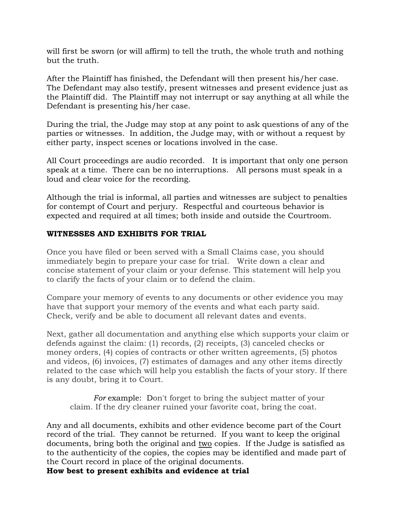will first be sworn (or will affirm) to tell the truth, the whole truth and nothing but the truth.

After the Plaintiff has finished, the Defendant will then present his/her case. The Defendant may also testify, present witnesses and present evidence just as the Plaintiff did. The Plaintiff may not interrupt or say anything at all while the Defendant is presenting his/her case.

During the trial, the Judge may stop at any point to ask questions of any of the parties or witnesses. In addition, the Judge may, with or without a request by either party, inspect scenes or locations involved in the case.

All Court proceedings are audio recorded. It is important that only one person speak at a time. There can be no interruptions. All persons must speak in a loud and clear voice for the recording.

Although the trial is informal, all parties and witnesses are subject to penalties for contempt of Court and perjury. Respectful and courteous behavior is expected and required at all times; both inside and outside the Courtroom.

#### **WITNESSES AND EXHIBITS FOR TRIAL**

Once you have filed or been served with a Small Claims case, you should immediately begin to prepare your case for trial. Write down a clear and concise statement of your claim or your defense. This statement will help you to clarify the facts of your claim or to defend the claim.

Compare your memory of events to any documents or other evidence you may have that support your memory of the events and what each party said. Check, verify and be able to document all relevant dates and events.

Next, gather all documentation and anything else which supports your claim or defends against the claim: (1) records, (2) receipts, (3) canceled checks or money orders, (4) copies of contracts or other written agreements, (5) photos and videos, (6) invoices, (7) estimates of damages and any other items directly related to the case which will help you establish the facts of your story. If there is any doubt, bring it to Court.

For example: Don't forget to bring the subject matter of your claim. If the dry cleaner ruined your favorite coat, bring the coat.

Any and all documents, exhibits and other evidence become part of the Court record of the trial. They cannot be returned. If you want to keep the original documents, bring both the original and two copies. If the Judge is satisfied as to the authenticity of the copies, the copies may be identified and made part of the Court record in place of the original documents.

**How best to present exhibits and evidence at trial**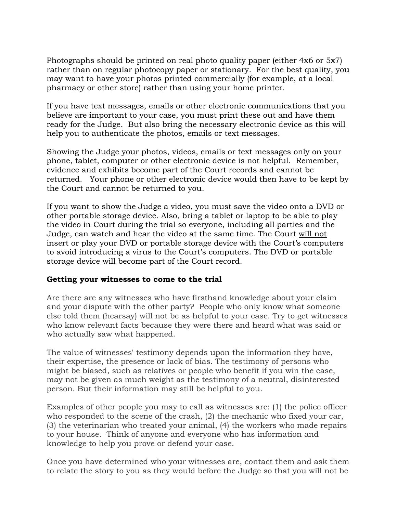Photographs should be printed on real photo quality paper (either 4x6 or 5x7) rather than on regular photocopy paper or stationary. For the best quality, you may want to have your photos printed commercially (for example, at a local pharmacy or other store) rather than using your home printer.

If you have text messages, emails or other electronic communications that you believe are important to your case, you must print these out and have them ready for the Judge. But also bring the necessary electronic device as this will help you to authenticate the photos, emails or text messages.

Showing the Judge your photos, videos, emails or text messages only on your phone, tablet, computer or other electronic device is not helpful. Remember, evidence and exhibits become part of the Court records and cannot be returned. Your phone or other electronic device would then have to be kept by the Court and cannot be returned to you.

If you want to show the Judge a video, you must save the video onto a DVD or other portable storage device. Also, bring a tablet or laptop to be able to play the video in Court during the trial so everyone, including all parties and the Judge, can watch and hear the video at the same time. The Court will not insert or play your DVD or portable storage device with the Court's computers to avoid introducing a virus to the Court's computers. The DVD or portable storage device will become part of the Court record.

# **Getting your witnesses to come to the trial**

Are there are any witnesses who have firsthand knowledge about your claim and your dispute with the other party? People who only know what someone else told them (hearsay) will not be as helpful to your case. Try to get witnesses who know relevant facts because they were there and heard what was said or who actually saw what happened.

The value of witnesses' testimony depends upon the information they have, their expertise, the presence or lack of bias. The testimony of persons who might be biased, such as relatives or people who benefit if you win the case, may not be given as much weight as the testimony of a neutral, disinterested person. But their information may still be helpful to you.

Examples of other people you may to call as witnesses are: (1) the police officer who responded to the scene of the crash, (2) the mechanic who fixed your car, (3) the veterinarian who treated your animal, (4) the workers who made repairs to your house. Think of anyone and everyone who has information and knowledge to help you prove or defend your case.

Once you have determined who your witnesses are, contact them and ask them to relate the story to you as they would before the Judge so that you will not be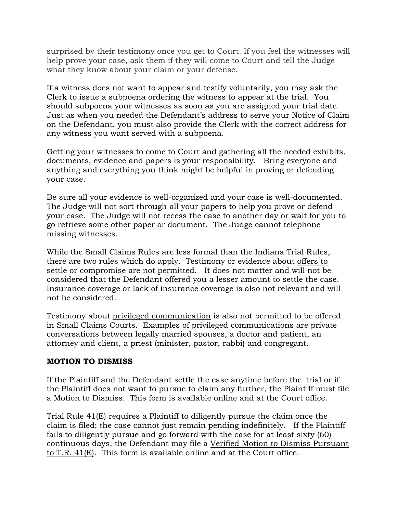surprised by their testimony once you get to Court. If you feel the witnesses will help prove your case, ask them if they will come to Court and tell the Judge what they know about your claim or your defense.

If a witness does not want to appear and testify voluntarily, you may ask the Clerk to issue a subpoena ordering the witness to appear at the trial. You should subpoena your witnesses as soon as you are assigned your trial date. Just as when you needed the Defendant's address to serve your Notice of Claim on the Defendant, you must also provide the Clerk with the correct address for any witness you want served with a subpoena.

Getting your witnesses to come to Court and gathering all the needed exhibits, documents, evidence and papers is your responsibility. Bring everyone and anything and everything you think might be helpful in proving or defending your case.

Be sure all your evidence is well-organized and your case is well-documented. The Judge will not sort through all your papers to help you prove or defend your case. The Judge will not recess the case to another day or wait for you to go retrieve some other paper or document. The Judge cannot telephone missing witnesses.

While the Small Claims Rules are less formal than the Indiana Trial Rules, there are two rules which do apply. Testimony or evidence about offers to settle or compromise are not permitted. It does not matter and will not be considered that the Defendant offered you a lesser amount to settle the case. Insurance coverage or lack of insurance coverage is also not relevant and will not be considered.

Testimony about privileged communication is also not permitted to be offered in Small Claims Courts. Examples of privileged communications are private conversations between legally married spouses, a doctor and patient, an attorney and client, a priest (minister, pastor, rabbi) and congregant.

# **MOTION TO DISMISS**

If the Plaintiff and the Defendant settle the case anytime before the trial or if the Plaintiff does not want to pursue to claim any further, the Plaintiff must file a Motion to Dismiss. This form is available online and at the Court office.

Trial Rule 41(E) requires a Plaintiff to diligently pursue the claim once the claim is filed; the case cannot just remain pending indefinitely. If the Plaintiff fails to diligently pursue and go forward with the case for at least sixty (60) continuous days, the Defendant may file a Verified Motion to Dismiss Pursuant to T.R. 41(E). This form is available online and at the Court office.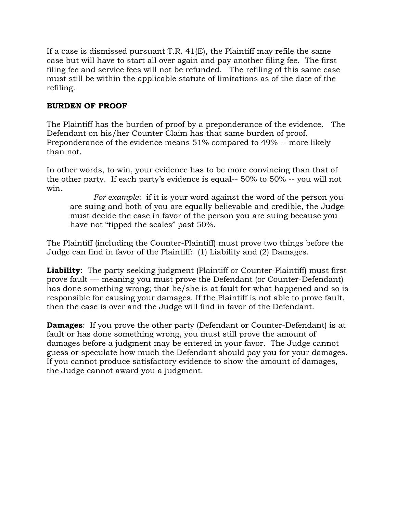If a case is dismissed pursuant T.R. 41(E), the Plaintiff may refile the same case but will have to start all over again and pay another filing fee. The first filing fee and service fees will not be refunded. The refiling of this same case must still be within the applicable statute of limitations as of the date of the refiling.

#### **BURDEN OF PROOF**

The Plaintiff has the burden of proof by a preponderance of the evidence. The Defendant on his/her Counter Claim has that same burden of proof. Preponderance of the evidence means 51% compared to 49% -- more likely than not.

In other words, to win, your evidence has to be more convincing than that of the other party. If each party's evidence is equal-- 50% to 50% -- you will not win.

*For example*: if it is your word against the word of the person you are suing and both of you are equally believable and credible, the Judge must decide the case in favor of the person you are suing because you have not "tipped the scales" past 50%.

The Plaintiff (including the Counter-Plaintiff) must prove two things before the Judge can find in favor of the Plaintiff: (1) Liability and (2) Damages.

**Liability**: The party seeking judgment (Plaintiff or Counter-Plaintiff) must first prove fault --- meaning you must prove the Defendant (or Counter-Defendant) has done something wrong; that he/she is at fault for what happened and so is responsible for causing your damages. If the Plaintiff is not able to prove fault, then the case is over and the Judge will find in favor of the Defendant.

**Damages**: If you prove the other party (Defendant or Counter-Defendant) is at fault or has done something wrong, you must still prove the amount of damages before a judgment may be entered in your favor. The Judge cannot guess or speculate how much the Defendant should pay you for your damages. If you cannot produce satisfactory evidence to show the amount of damages, the Judge cannot award you a judgment.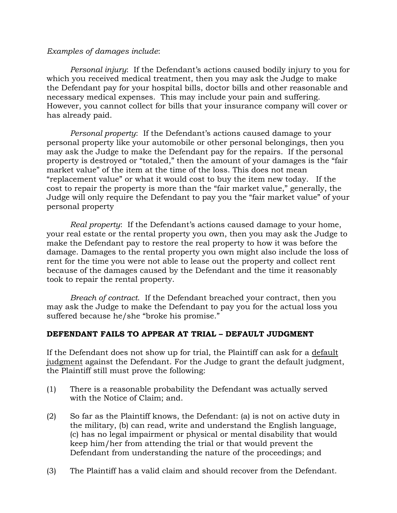#### *Examples of damages include*:

*Personal injury*: If the Defendant's actions caused bodily injury to you for which you received medical treatment, then you may ask the Judge to make the Defendant pay for your hospital bills, doctor bills and other reasonable and necessary medical expenses. This may include your pain and suffering. However, you cannot collect for bills that your insurance company will cover or has already paid.

*Personal property*: If the Defendant's actions caused damage to your personal property like your automobile or other personal belongings, then you may ask the Judge to make the Defendant pay for the repairs. If the personal property is destroyed or "totaled," then the amount of your damages is the "fair market value" of the item at the time of the loss. This does not mean "replacement value" or what it would cost to buy the item new today. If the cost to repair the property is more than the "fair market value," generally, the Judge will only require the Defendant to pay you the "fair market value" of your personal property

*Real property*: If the Defendant's actions caused damage to your home, your real estate or the rental property you own, then you may ask the Judge to make the Defendant pay to restore the real property to how it was before the damage. Damages to the rental property you own might also include the loss of rent for the time you were not able to lease out the property and collect rent because of the damages caused by the Defendant and the time it reasonably took to repair the rental property.

*Breach of contract*. If the Defendant breached your contract, then you may ask the Judge to make the Defendant to pay you for the actual loss you suffered because he/she "broke his promise."

#### **DEFENDANT FAILS TO APPEAR AT TRIAL – DEFAULT JUDGMENT**

If the Defendant does not show up for trial, the Plaintiff can ask for a default judgment against the Defendant. For the Judge to grant the default judgment, the Plaintiff still must prove the following:

- (1) There is a reasonable probability the Defendant was actually served with the Notice of Claim; and.
- (2) So far as the Plaintiff knows, the Defendant: (a) is not on active duty in the military, (b) can read, write and understand the English language, (c) has no legal impairment or physical or mental disability that would keep him/her from attending the trial or that would prevent the Defendant from understanding the nature of the proceedings; and
- (3) The Plaintiff has a valid claim and should recover from the Defendant.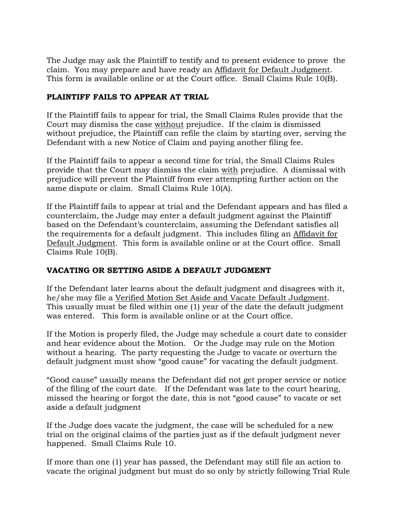The Judge may ask the Plaintiff to testify and to present evidence to prove the claim. You may prepare and have ready an Affidavit for Default Judgment. This form is available online or at the Court office. Small Claims Rule 10(B).

# **PLAINTIFF FAILS TO APPEAR AT TRIAL**

If the Plaintiff fails to appear for trial, the Small Claims Rules provide that the Court may dismiss the case without prejudice. If the claim is dismissed without prejudice, the Plaintiff can refile the claim by starting over, serving the Defendant with a new Notice of Claim and paying another filing fee.

If the Plaintiff fails to appear a second time for trial, the Small Claims Rules provide that the Court may dismiss the claim with prejudice. A dismissal with prejudice will prevent the Plaintiff from ever attempting further action on the same dispute or claim. Small Claims Rule 10(A).

If the Plaintiff fails to appear at trial and the Defendant appears and has filed a counterclaim, the Judge may enter a default judgment against the Plaintiff based on the Defendant's counterclaim, assuming the Defendant satisfies all the requirements for a default judgment. This includes filing an Affidavit for Default Judgment. This form is available online or at the Court office. Small Claims Rule 10(B).

# **VACATING OR SETTING ASIDE A DEFAULT JUDGMENT**

If the Defendant later learns about the default judgment and disagrees with it, he/she may file a Verified Motion Set Aside and Vacate Default Judgment. This usually must be filed within one (1) year of the date the default judgment was entered. This form is available online or at the Court office.

If the Motion is properly filed, the Judge may schedule a court date to consider and hear evidence about the Motion. Or the Judge may rule on the Motion without a hearing. The party requesting the Judge to vacate or overturn the default judgment must show "good cause" for vacating the default judgment.

"Good cause" usually means the Defendant did not get proper service or notice of the filing of the court date. If the Defendant was late to the court hearing, missed the hearing or forgot the date, this is not "good cause" to vacate or set aside a default judgment

If the Judge does vacate the judgment, the case will be scheduled for a new trial on the original claims of the parties just as if the default judgment never happened. Small Claims Rule 10.

If more than one (1) year has passed, the Defendant may still file an action to vacate the original judgment but must do so only by strictly following Trial Rule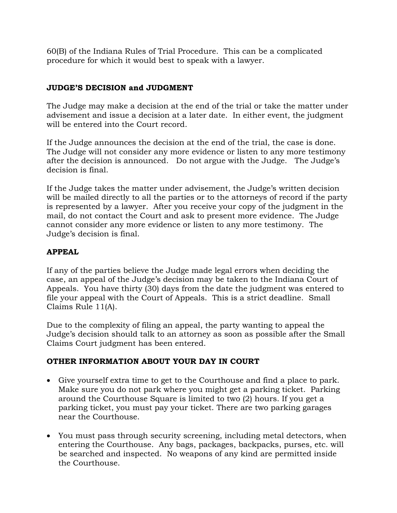60(B) of the Indiana Rules of Trial Procedure. This can be a complicated procedure for which it would best to speak with a lawyer.

#### **JUDGE'S DECISION and JUDGMENT**

The Judge may make a decision at the end of the trial or take the matter under advisement and issue a decision at a later date. In either event, the judgment will be entered into the Court record.

If the Judge announces the decision at the end of the trial, the case is done. The Judge will not consider any more evidence or listen to any more testimony after the decision is announced. Do not argue with the Judge. The Judge's decision is final.

If the Judge takes the matter under advisement, the Judge's written decision will be mailed directly to all the parties or to the attorneys of record if the party is represented by a lawyer. After you receive your copy of the judgment in the mail, do not contact the Court and ask to present more evidence. The Judge cannot consider any more evidence or listen to any more testimony. The Judge's decision is final.

# **APPEAL**

If any of the parties believe the Judge made legal errors when deciding the case, an appeal of the Judge's decision may be taken to the Indiana Court of Appeals. You have thirty (30) days from the date the judgment was entered to file your appeal with the Court of Appeals. This is a strict deadline. Small Claims Rule 11(A).

Due to the complexity of filing an appeal, the party wanting to appeal the Judge's decision should talk to an attorney as soon as possible after the Small Claims Court judgment has been entered.

# **OTHER INFORMATION ABOUT YOUR DAY IN COURT**

- Give yourself extra time to get to the Courthouse and find a place to park. Make sure you do not park where you might get a parking ticket. Parking around the Courthouse Square is limited to two (2) hours. If you get a parking ticket, you must pay your ticket. There are two parking garages near the Courthouse.
- You must pass through security screening, including metal detectors, when entering the Courthouse. Any bags, packages, backpacks, purses, etc. will be searched and inspected. No weapons of any kind are permitted inside the Courthouse.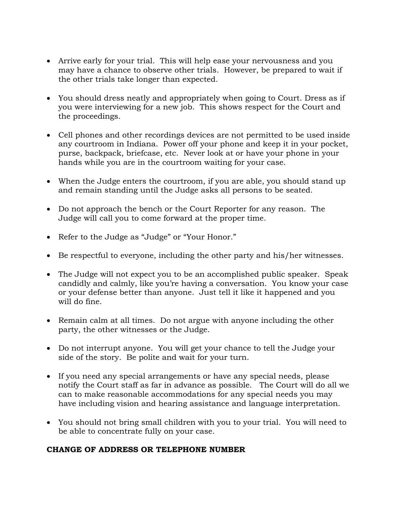- Arrive early for your trial. This will help ease your nervousness and you may have a chance to observe other trials. However, be prepared to wait if the other trials take longer than expected.
- You should dress neatly and appropriately when going to Court. Dress as if you were interviewing for a new job. This shows respect for the Court and the proceedings.
- Cell phones and other recordings devices are not permitted to be used inside any courtroom in Indiana. Power off your phone and keep it in your pocket, purse, backpack, briefcase, etc. Never look at or have your phone in your hands while you are in the courtroom waiting for your case.
- When the Judge enters the courtroom, if you are able, you should stand up and remain standing until the Judge asks all persons to be seated.
- Do not approach the bench or the Court Reporter for any reason. The Judge will call you to come forward at the proper time.
- Refer to the Judge as "Judge" or "Your Honor."
- Be respectful to everyone, including the other party and his/her witnesses.
- The Judge will not expect you to be an accomplished public speaker. Speak candidly and calmly, like you're having a conversation. You know your case or your defense better than anyone. Just tell it like it happened and you will do fine.
- Remain calm at all times. Do not argue with anyone including the other party, the other witnesses or the Judge.
- Do not interrupt anyone. You will get your chance to tell the Judge your side of the story. Be polite and wait for your turn.
- If you need any special arrangements or have any special needs, please notify the Court staff as far in advance as possible. The Court will do all we can to make reasonable accommodations for any special needs you may have including vision and hearing assistance and language interpretation.
- You should not bring small children with you to your trial. You will need to be able to concentrate fully on your case.

# **CHANGE OF ADDRESS OR TELEPHONE NUMBER**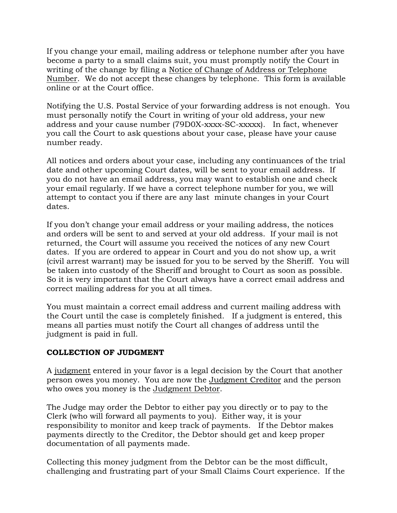If you change your email, mailing address or telephone number after you have become a party to a small claims suit, you must promptly notify the Court in writing of the change by filing a Notice of Change of Address or Telephone Number. We do not accept these changes by telephone. This form is available online or at the Court office.

Notifying the U.S. Postal Service of your forwarding address is not enough. You must personally notify the Court in writing of your old address, your new address and your cause number (79D0X-xxxx-SC-xxxxx). In fact, whenever you call the Court to ask questions about your case, please have your cause number ready.

All notices and orders about your case, including any continuances of the trial date and other upcoming Court dates, will be sent to your email address. If you do not have an email address, you may want to establish one and check your email regularly. If we have a correct telephone number for you, we will attempt to contact you if there are any last minute changes in your Court dates.

If you don't change your email address or your mailing address, the notices and orders will be sent to and served at your old address. If your mail is not returned, the Court will assume you received the notices of any new Court dates. If you are ordered to appear in Court and you do not show up, a writ (civil arrest warrant) may be issued for you to be served by the Sheriff. You will be taken into custody of the Sheriff and brought to Court as soon as possible. So it is very important that the Court always have a correct email address and correct mailing address for you at all times.

You must maintain a correct email address and current mailing address with the Court until the case is completely finished. If a judgment is entered, this means all parties must notify the Court all changes of address until the judgment is paid in full.

# **COLLECTION OF JUDGMENT**

A judgment entered in your favor is a legal decision by the Court that another person owes you money. You are now the Judgment Creditor and the person who owes you money is the Judgment Debtor.

The Judge may order the Debtor to either pay you directly or to pay to the Clerk (who will forward all payments to you). Either way, it is your responsibility to monitor and keep track of payments. If the Debtor makes payments directly to the Creditor, the Debtor should get and keep proper documentation of all payments made.

Collecting this money judgment from the Debtor can be the most difficult, challenging and frustrating part of your Small Claims Court experience. If the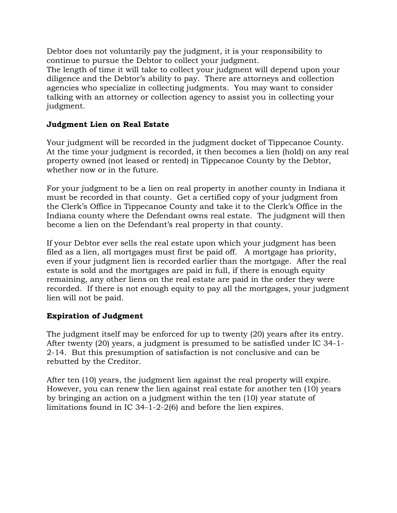Debtor does not voluntarily pay the judgment, it is your responsibility to continue to pursue the Debtor to collect your judgment.

The length of time it will take to collect your judgment will depend upon your diligence and the Debtor's ability to pay. There are attorneys and collection agencies who specialize in collecting judgments. You may want to consider talking with an attorney or collection agency to assist you in collecting your judgment.

# **Judgment Lien on Real Estate**

Your judgment will be recorded in the judgment docket of Tippecanoe County. At the time your judgment is recorded, it then becomes a lien (hold) on any real property owned (not leased or rented) in Tippecanoe County by the Debtor, whether now or in the future.

For your judgment to be a lien on real property in another county in Indiana it must be recorded in that county. Get a certified copy of your judgment from the Clerk's Office in Tippecanoe County and take it to the Clerk's Office in the Indiana county where the Defendant owns real estate. The judgment will then become a lien on the Defendant's real property in that county.

If your Debtor ever sells the real estate upon which your judgment has been filed as a lien, all mortgages must first be paid off. A mortgage has priority, even if your judgment lien is recorded earlier than the mortgage. After the real estate is sold and the mortgages are paid in full, if there is enough equity remaining, any other liens on the real estate are paid in the order they were recorded. If there is not enough equity to pay all the mortgages, your judgment lien will not be paid.

# **Expiration of Judgment**

The judgment itself may be enforced for up to twenty (20) years after its entry. After twenty (20) years, a judgment is presumed to be satisfied under IC 34-1- 2-14. But this presumption of satisfaction is not conclusive and can be rebutted by the Creditor.

After ten (10) years, the judgment lien against the real property will expire. However, you can renew the lien against real estate for another ten (10) years by bringing an action on a judgment within the ten (10) year statute of limitations found in IC 34-1-2-2(6) and before the lien expires.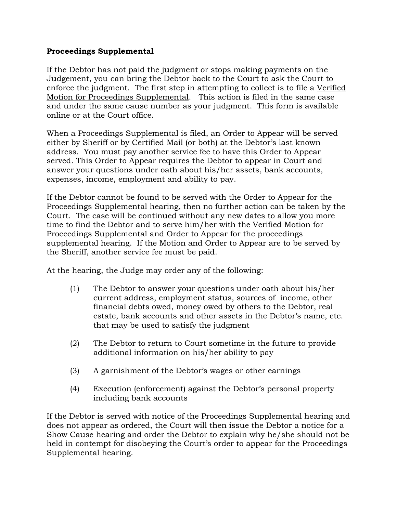#### **Proceedings Supplemental**

If the Debtor has not paid the judgment or stops making payments on the Judgement, you can bring the Debtor back to the Court to ask the Court to enforce the judgment. The first step in attempting to collect is to file a Verified Motion for Proceedings Supplemental. This action is filed in the same case and under the same cause number as your judgment. This form is available online or at the Court office.

When a Proceedings Supplemental is filed, an Order to Appear will be served either by Sheriff or by Certified Mail (or both) at the Debtor's last known address. You must pay another service fee to have this Order to Appear served. This Order to Appear requires the Debtor to appear in Court and answer your questions under oath about his/her assets, bank accounts, expenses, income, employment and ability to pay.

If the Debtor cannot be found to be served with the Order to Appear for the Proceedings Supplemental hearing, then no further action can be taken by the Court. The case will be continued without any new dates to allow you more time to find the Debtor and to serve him/her with the Verified Motion for Proceedings Supplemental and Order to Appear for the proceedings supplemental hearing. If the Motion and Order to Appear are to be served by the Sheriff, another service fee must be paid.

At the hearing, the Judge may order any of the following:

- (1) The Debtor to answer your questions under oath about his/her current address, employment status, sources of income, other financial debts owed, money owed by others to the Debtor, real estate, bank accounts and other assets in the Debtor's name, etc. that may be used to satisfy the judgment
- (2) The Debtor to return to Court sometime in the future to provide additional information on his/her ability to pay
- (3) A garnishment of the Debtor's wages or other earnings
- (4) Execution (enforcement) against the Debtor's personal property including bank accounts

If the Debtor is served with notice of the Proceedings Supplemental hearing and does not appear as ordered, the Court will then issue the Debtor a notice for a Show Cause hearing and order the Debtor to explain why he/she should not be held in contempt for disobeying the Court's order to appear for the Proceedings Supplemental hearing.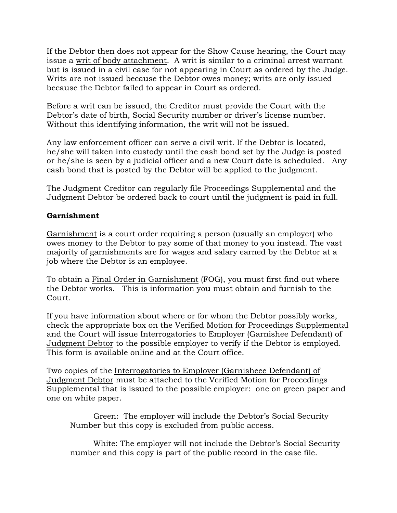If the Debtor then does not appear for the Show Cause hearing, the Court may issue a writ of body attachment. A writ is similar to a criminal arrest warrant but is issued in a civil case for not appearing in Court as ordered by the Judge. Writs are not issued because the Debtor owes money; writs are only issued because the Debtor failed to appear in Court as ordered.

Before a writ can be issued, the Creditor must provide the Court with the Debtor's date of birth, Social Security number or driver's license number. Without this identifying information, the writ will not be issued.

Any law enforcement officer can serve a civil writ. If the Debtor is located, he/she will taken into custody until the cash bond set by the Judge is posted or he/she is seen by a judicial officer and a new Court date is scheduled. Any cash bond that is posted by the Debtor will be applied to the judgment.

The Judgment Creditor can regularly file Proceedings Supplemental and the Judgment Debtor be ordered back to court until the judgment is paid in full.

#### **Garnishment**

Garnishment is a court order requiring a person (usually an employer) who owes money to the Debtor to pay some of that money to you instead. The vast majority of garnishments are for wages and salary earned by the Debtor at a job where the Debtor is an employee.

To obtain a Final Order in Garnishment (FOG), you must first find out where the Debtor works. This is information you must obtain and furnish to the Court.

If you have information about where or for whom the Debtor possibly works, check the appropriate box on the Verified Motion for Proceedings Supplemental and the Court will issue Interrogatories to Employer (Garnishee Defendant) of Judgment Debtor to the possible employer to verify if the Debtor is employed. This form is available online and at the Court office.

Two copies of the Interrogatories to Employer (Garnisheee Defendant) of Judgment Debtor must be attached to the Verified Motion for Proceedings Supplemental that is issued to the possible employer: one on green paper and one on white paper.

Green: The employer will include the Debtor's Social Security Number but this copy is excluded from public access.

White: The employer will not include the Debtor's Social Security number and this copy is part of the public record in the case file.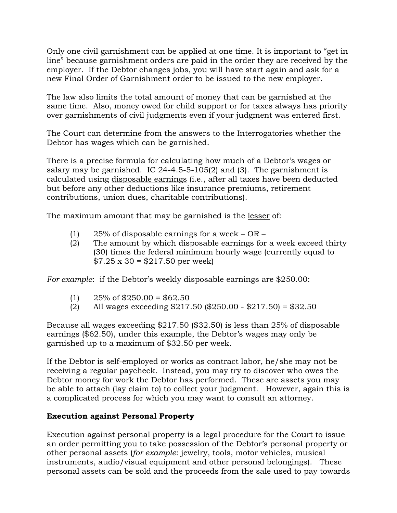Only one civil garnishment can be applied at one time. It is important to "get in line" because garnishment orders are paid in the order they are received by the employer. If the Debtor changes jobs, you will have start again and ask for a new Final Order of Garnishment order to be issued to the new employer.

The law also limits the total amount of money that can be garnished at the same time. Also, money owed for child support or for taxes always has priority over garnishments of civil judgments even if your judgment was entered first.

The Court can determine from the answers to the Interrogatories whether the Debtor has wages which can be garnished.

There is a precise formula for calculating how much of a Debtor's wages or salary may be garnished. IC 24-4.5-5-105(2) and (3). The garnishment is calculated using disposable earnings (i.e., after all taxes have been deducted but before any other deductions like insurance premiums, retirement contributions, union dues, charitable contributions).

The maximum amount that may be garnished is the lesser of:

- (1) 25% of disposable earnings for a week OR –
- (2) The amount by which disposable earnings for a week exceed thirty (30) times the federal minimum hourly wage (currently equal to  $$7.25 \times 30 = $217.50$  per week)

*For example*: if the Debtor's weekly disposable earnings are \$250.00:

- $(1)$  25% of \$250.00 = \$62.50
- (2) All wages exceeding \$217.50 (\$250.00 \$217.50) = \$32.50

Because all wages exceeding \$217.50 (\$32.50) is less than 25% of disposable earnings (\$62.50), under this example, the Debtor's wages may only be garnished up to a maximum of \$32.50 per week.

If the Debtor is self-employed or works as contract labor, he/she may not be receiving a regular paycheck. Instead, you may try to discover who owes the Debtor money for work the Debtor has performed. These are assets you may be able to attach (lay claim to) to collect your judgment. However, again this is a complicated process for which you may want to consult an attorney.

#### **Execution against Personal Property**

Execution against personal property is a legal procedure for the Court to issue an order permitting you to take possession of the Debtor's personal property or other personal assets (*for example*: jewelry, tools, motor vehicles, musical instruments, audio/visual equipment and other personal belongings). These personal assets can be sold and the proceeds from the sale used to pay towards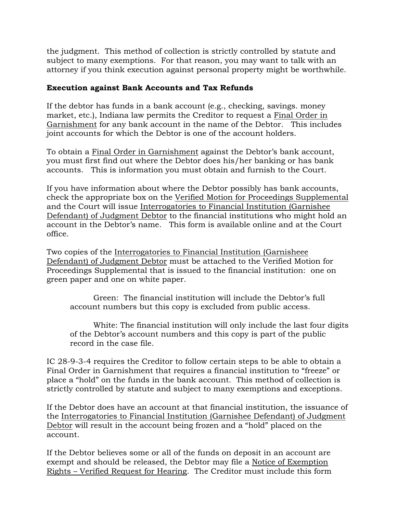the judgment. This method of collection is strictly controlled by statute and subject to many exemptions. For that reason, you may want to talk with an attorney if you think execution against personal property might be worthwhile.

#### **Execution against Bank Accounts and Tax Refunds**

If the debtor has funds in a bank account (e.g., checking, savings. money market, etc.), Indiana law permits the Creditor to request a Final Order in Garnishment for any bank account in the name of the Debtor. This includes joint accounts for which the Debtor is one of the account holders.

To obtain a Final Order in Garnishment against the Debtor's bank account, you must first find out where the Debtor does his/her banking or has bank accounts. This is information you must obtain and furnish to the Court.

If you have information about where the Debtor possibly has bank accounts, check the appropriate box on the Verified Motion for Proceedings Supplemental and the Court will issue Interrogatories to Financial Institution (Garnishee Defendant) of Judgment Debtor to the financial institutions who might hold an account in the Debtor's name. This form is available online and at the Court office.

Two copies of the Interrogatories to Financial Institution (Garnisheee Defendant) of Judgment Debtor must be attached to the Verified Motion for Proceedings Supplemental that is issued to the financial institution: one on green paper and one on white paper.

Green: The financial institution will include the Debtor's full account numbers but this copy is excluded from public access.

White: The financial institution will only include the last four digits of the Debtor's account numbers and this copy is part of the public record in the case file.

IC 28-9-3-4 requires the Creditor to follow certain steps to be able to obtain a Final Order in Garnishment that requires a financial institution to "freeze" or place a "hold" on the funds in the bank account. This method of collection is strictly controlled by statute and subject to many exemptions and exceptions.

If the Debtor does have an account at that financial institution, the issuance of the Interrogatories to Financial Institution (Garnishee Defendant) of Judgment Debtor will result in the account being frozen and a "hold" placed on the account.

If the Debtor believes some or all of the funds on deposit in an account are exempt and should be released, the Debtor may file a Notice of Exemption Rights – Verified Request for Hearing. The Creditor must include this form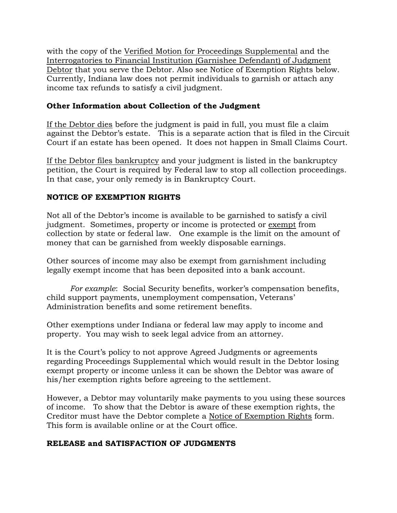with the copy of the Verified Motion for Proceedings Supplemental and the Interrogatories to Financial Institution (Garnishee Defendant) of Judgment Debtor that you serve the Debtor. Also see Notice of Exemption Rights below. Currently, Indiana law does not permit individuals to garnish or attach any income tax refunds to satisfy a civil judgment.

# **Other Information about Collection of the Judgment**

If the Debtor dies before the judgment is paid in full, you must file a claim against the Debtor's estate. This is a separate action that is filed in the Circuit Court if an estate has been opened. It does not happen in Small Claims Court.

If the Debtor files bankruptcy and your judgment is listed in the bankruptcy petition, the Court is required by Federal law to stop all collection proceedings. In that case, your only remedy is in Bankruptcy Court.

#### **NOTICE OF EXEMPTION RIGHTS**

Not all of the Debtor's income is available to be garnished to satisfy a civil judgment. Sometimes, property or income is protected or exempt from collection by state or federal law. One example is the limit on the amount of money that can be garnished from weekly disposable earnings.

Other sources of income may also be exempt from garnishment including legally exempt income that has been deposited into a bank account.

*For example*: Social Security benefits, worker's compensation benefits, child support payments, unemployment compensation, Veterans' Administration benefits and some retirement benefits.

Other exemptions under Indiana or federal law may apply to income and property. You may wish to seek legal advice from an attorney.

It is the Court's policy to not approve Agreed Judgments or agreements regarding Proceedings Supplemental which would result in the Debtor losing exempt property or income unless it can be shown the Debtor was aware of his/her exemption rights before agreeing to the settlement.

However, a Debtor may voluntarily make payments to you using these sources of income. To show that the Debtor is aware of these exemption rights, the Creditor must have the Debtor complete a Notice of Exemption Rights form. This form is available online or at the Court office.

#### **RELEASE and SATISFACTION OF JUDGMENTS**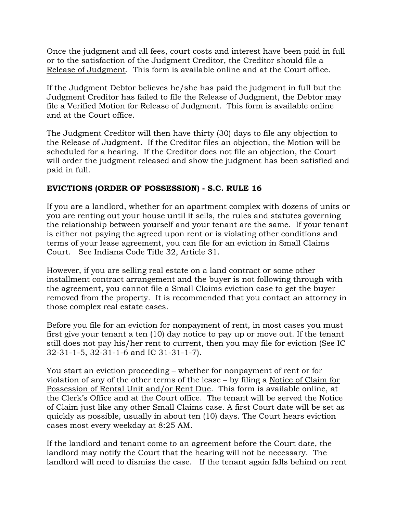Once the judgment and all fees, court costs and interest have been paid in full or to the satisfaction of the Judgment Creditor, the Creditor should file a Release of Judgment. This form is available online and at the Court office.

If the Judgment Debtor believes he/she has paid the judgment in full but the Judgment Creditor has failed to file the Release of Judgment, the Debtor may file a Verified Motion for Release of Judgment. This form is available online and at the Court office.

The Judgment Creditor will then have thirty (30) days to file any objection to the Release of Judgment. If the Creditor files an objection, the Motion will be scheduled for a hearing. If the Creditor does not file an objection, the Court will order the judgment released and show the judgment has been satisfied and paid in full.

# **EVICTIONS (ORDER OF POSSESSION) - S.C. RULE 16**

If you are a landlord, whether for an apartment complex with dozens of units or you are renting out your house until it sells, the rules and statutes governing the relationship between yourself and your tenant are the same. If your tenant is either not paying the agreed upon rent or is violating other conditions and terms of your lease agreement, you can file for an eviction in Small Claims Court. See Indiana Code Title 32, Article 31.

However, if you are selling real estate on a land contract or some other installment contract arrangement and the buyer is not following through with the agreement, you cannot file a Small Claims eviction case to get the buyer removed from the property. It is recommended that you contact an attorney in those complex real estate cases.

Before you file for an eviction for nonpayment of rent, in most cases you must first give your tenant a ten (10) day notice to pay up or move out. If the tenant still does not pay his/her rent to current, then you may file for eviction (See IC 32-31-1-5, 32-31-1-6 and IC 31-31-1-7).

You start an eviction proceeding – whether for nonpayment of rent or for violation of any of the other terms of the lease – by filing a Notice of Claim for Possession of Rental Unit and/or Rent Due. This form is available online, at the Clerk's Office and at the Court office. The tenant will be served the Notice of Claim just like any other Small Claims case. A first Court date will be set as quickly as possible, usually in about ten (10) days. The Court hears eviction cases most every weekday at 8:25 AM.

If the landlord and tenant come to an agreement before the Court date, the landlord may notify the Court that the hearing will not be necessary. The landlord will need to dismiss the case. If the tenant again falls behind on rent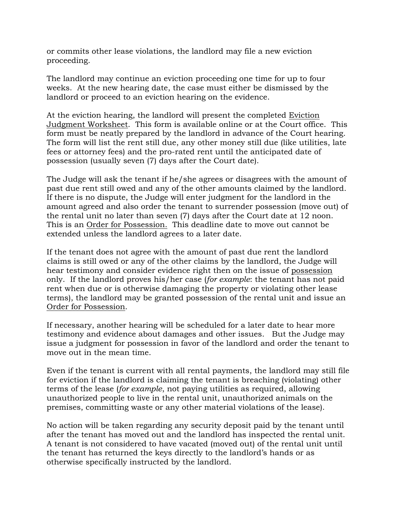or commits other lease violations, the landlord may file a new eviction proceeding.

The landlord may continue an eviction proceeding one time for up to four weeks. At the new hearing date, the case must either be dismissed by the landlord or proceed to an eviction hearing on the evidence.

At the eviction hearing, the landlord will present the completed Eviction Judgment Worksheet. This form is available online or at the Court office. This form must be neatly prepared by the landlord in advance of the Court hearing. The form will list the rent still due, any other money still due (like utilities, late fees or attorney fees) and the pro-rated rent until the anticipated date of possession (usually seven (7) days after the Court date).

The Judge will ask the tenant if he/she agrees or disagrees with the amount of past due rent still owed and any of the other amounts claimed by the landlord. If there is no dispute, the Judge will enter judgment for the landlord in the amount agreed and also order the tenant to surrender possession (move out) of the rental unit no later than seven (7) days after the Court date at 12 noon. This is an Order for Possession. This deadline date to move out cannot be extended unless the landlord agrees to a later date.

If the tenant does not agree with the amount of past due rent the landlord claims is still owed or any of the other claims by the landlord, the Judge will hear testimony and consider evidence right then on the issue of possession only. If the landlord proves his/her case (*for example*: the tenant has not paid rent when due or is otherwise damaging the property or violating other lease terms), the landlord may be granted possession of the rental unit and issue an Order for Possession.

If necessary, another hearing will be scheduled for a later date to hear more testimony and evidence about damages and other issues. But the Judge may issue a judgment for possession in favor of the landlord and order the tenant to move out in the mean time.

Even if the tenant is current with all rental payments, the landlord may still file for eviction if the landlord is claiming the tenant is breaching (violating) other terms of the lease (*for example*, not paying utilities as required, allowing unauthorized people to live in the rental unit, unauthorized animals on the premises, committing waste or any other material violations of the lease).

No action will be taken regarding any security deposit paid by the tenant until after the tenant has moved out and the landlord has inspected the rental unit. A tenant is not considered to have vacated (moved out) of the rental unit until the tenant has returned the keys directly to the landlord's hands or as otherwise specifically instructed by the landlord.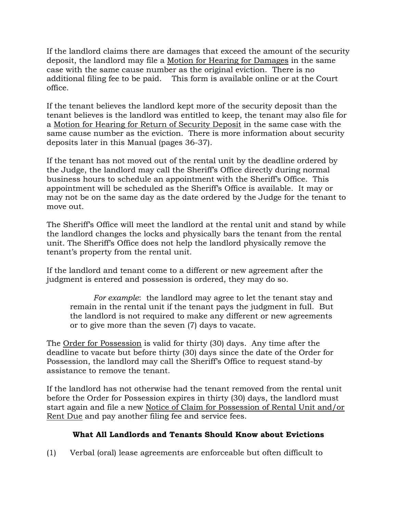If the landlord claims there are damages that exceed the amount of the security deposit, the landlord may file a Motion for Hearing for Damages in the same case with the same cause number as the original eviction. There is no additional filing fee to be paid. This form is available online or at the Court office.

If the tenant believes the landlord kept more of the security deposit than the tenant believes is the landlord was entitled to keep, the tenant may also file for a Motion for Hearing for Return of Security Deposit in the same case with the same cause number as the eviction. There is more information about security deposits later in this Manual (pages 36-37).

If the tenant has not moved out of the rental unit by the deadline ordered by the Judge, the landlord may call the Sheriff's Office directly during normal business hours to schedule an appointment with the Sheriff's Office. This appointment will be scheduled as the Sheriff's Office is available. It may or may not be on the same day as the date ordered by the Judge for the tenant to move out.

The Sheriff's Office will meet the landlord at the rental unit and stand by while the landlord changes the locks and physically bars the tenant from the rental unit. The Sheriff's Office does not help the landlord physically remove the tenant's property from the rental unit.

If the landlord and tenant come to a different or new agreement after the judgment is entered and possession is ordered, they may do so.

*For example*: the landlord may agree to let the tenant stay and remain in the rental unit if the tenant pays the judgment in full. But the landlord is not required to make any different or new agreements or to give more than the seven (7) days to vacate.

The Order for Possession is valid for thirty (30) days. Any time after the deadline to vacate but before thirty (30) days since the date of the Order for Possession, the landlord may call the Sheriff's Office to request stand-by assistance to remove the tenant.

If the landlord has not otherwise had the tenant removed from the rental unit before the Order for Possession expires in thirty (30) days, the landlord must start again and file a new Notice of Claim for Possession of Rental Unit and/or Rent Due and pay another filing fee and service fees.

# **What All Landlords and Tenants Should Know about Evictions**

(1) Verbal (oral) lease agreements are enforceable but often difficult to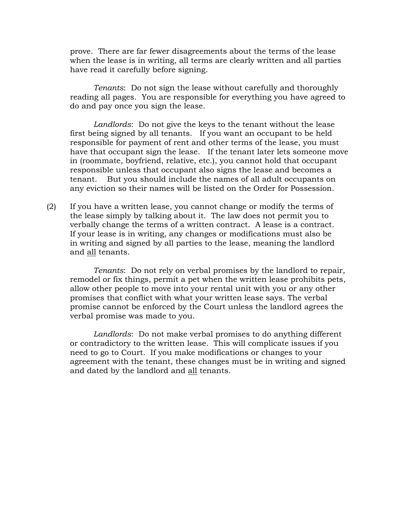prove. There are far fewer disagreements about the terms of the lease when the lease is in writing, all terms are clearly written and all parties have read it carefully before signing.

*Tenants*: Do not sign the lease without carefully and thoroughly reading all pages. You are responsible for everything you have agreed to do and pay once you sign the lease.

*Landlords*: Do not give the keys to the tenant without the lease first being signed by all tenants. If you want an occupant to be held responsible for payment of rent and other terms of the lease, you must have that occupant sign the lease. If the tenant later lets someone move in (roommate, boyfriend, relative, etc.), you cannot hold that occupant responsible unless that occupant also signs the lease and becomes a tenant. But you should include the names of all adult occupants on any eviction so their names will be listed on the Order for Possession.

(2) If you have a written lease, you cannot change or modify the terms of the lease simply by talking about it. The law does not permit you to verbally change the terms of a written contract. A lease is a contract. If your lease is in writing, any changes or modifications must also be in writing and signed by all parties to the lease, meaning the landlord and all tenants.

*Tenants*: Do not rely on verbal promises by the landlord to repair, remodel or fix things, permit a pet when the written lease prohibits pets, allow other people to move into your rental unit with you or any other promises that conflict with what your written lease says. The verbal promise cannot be enforced by the Court unless the landlord agrees the verbal promise was made to you.

*Landlords*: Do not make verbal promises to do anything different or contradictory to the written lease. This will complicate issues if you need to go to Court. If you make modifications or changes to your agreement with the tenant, these changes must be in writing and signed and dated by the landlord and all tenants.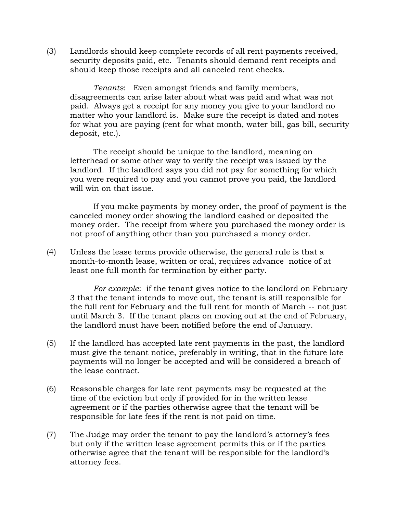(3) Landlords should keep complete records of all rent payments received, security deposits paid, etc. Tenants should demand rent receipts and should keep those receipts and all canceled rent checks.

*Tenants*: Even amongst friends and family members, disagreements can arise later about what was paid and what was not paid. Always get a receipt for any money you give to your landlord no matter who your landlord is. Make sure the receipt is dated and notes for what you are paying (rent for what month, water bill, gas bill, security deposit, etc.).

The receipt should be unique to the landlord, meaning on letterhead or some other way to verify the receipt was issued by the landlord. If the landlord says you did not pay for something for which you were required to pay and you cannot prove you paid, the landlord will win on that issue.

If you make payments by money order, the proof of payment is the canceled money order showing the landlord cashed or deposited the money order. The receipt from where you purchased the money order is not proof of anything other than you purchased a money order.

(4) Unless the lease terms provide otherwise, the general rule is that a month-to-month lease, written or oral, requires advance notice of at least one full month for termination by either party.

*For example*: if the tenant gives notice to the landlord on February 3 that the tenant intends to move out, the tenant is still responsible for the full rent for February and the full rent for month of March -- not just until March 3. If the tenant plans on moving out at the end of February, the landlord must have been notified before the end of January.

- (5) If the landlord has accepted late rent payments in the past, the landlord must give the tenant notice, preferably in writing, that in the future late payments will no longer be accepted and will be considered a breach of the lease contract.
- (6) Reasonable charges for late rent payments may be requested at the time of the eviction but only if provided for in the written lease agreement or if the parties otherwise agree that the tenant will be responsible for late fees if the rent is not paid on time.
- (7) The Judge may order the tenant to pay the landlord's attorney's fees but only if the written lease agreement permits this or if the parties otherwise agree that the tenant will be responsible for the landlord's attorney fees.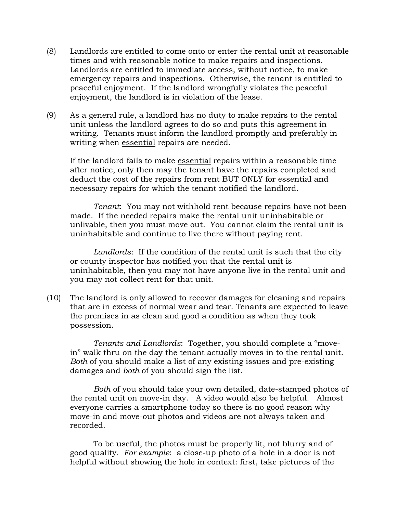- (8) Landlords are entitled to come onto or enter the rental unit at reasonable times and with reasonable notice to make repairs and inspections. Landlords are entitled to immediate access, without notice, to make emergency repairs and inspections. Otherwise, the tenant is entitled to peaceful enjoyment. If the landlord wrongfully violates the peaceful enjoyment, the landlord is in violation of the lease.
- (9) As a general rule, a landlord has no duty to make repairs to the rental unit unless the landlord agrees to do so and puts this agreement in writing. Tenants must inform the landlord promptly and preferably in writing when essential repairs are needed.

If the landlord fails to make essential repairs within a reasonable time after notice, only then may the tenant have the repairs completed and deduct the cost of the repairs from rent BUT ONLY for essential and necessary repairs for which the tenant notified the landlord.

*Tenant*: You may not withhold rent because repairs have not been made. If the needed repairs make the rental unit uninhabitable or unlivable, then you must move out. You cannot claim the rental unit is uninhabitable and continue to live there without paying rent.

*Landlords*: If the condition of the rental unit is such that the city or county inspector has notified you that the rental unit is uninhabitable, then you may not have anyone live in the rental unit and you may not collect rent for that unit.

(10) The landlord is only allowed to recover damages for cleaning and repairs that are in excess of normal wear and tear. Tenants are expected to leave the premises in as clean and good a condition as when they took possession.

*Tenants and Landlords*: Together, you should complete a "movein" walk thru on the day the tenant actually moves in to the rental unit. *Both* of you should make a list of any existing issues and pre-existing damages and *both* of you should sign the list.

*Both* of you should take your own detailed, date-stamped photos of the rental unit on move-in day. A video would also be helpful. Almost everyone carries a smartphone today so there is no good reason why move-in and move-out photos and videos are not always taken and recorded.

To be useful, the photos must be properly lit, not blurry and of good quality. *For example*: a close-up photo of a hole in a door is not helpful without showing the hole in context: first, take pictures of the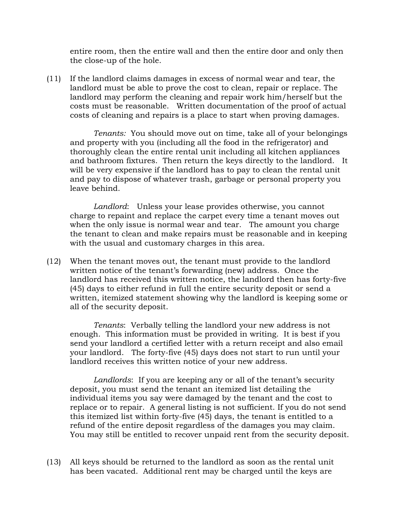entire room, then the entire wall and then the entire door and only then the close-up of the hole.

(11) If the landlord claims damages in excess of normal wear and tear, the landlord must be able to prove the cost to clean, repair or replace. The landlord may perform the cleaning and repair work him/herself but the costs must be reasonable. Written documentation of the proof of actual costs of cleaning and repairs is a place to start when proving damages.

*Tenants:* You should move out on time, take all of your belongings and property with you (including all the food in the refrigerator) and thoroughly clean the entire rental unit including all kitchen appliances and bathroom fixtures. Then return the keys directly to the landlord. It will be very expensive if the landlord has to pay to clean the rental unit and pay to dispose of whatever trash, garbage or personal property you leave behind.

*Landlord*: Unless your lease provides otherwise, you cannot charge to repaint and replace the carpet every time a tenant moves out when the only issue is normal wear and tear. The amount you charge the tenant to clean and make repairs must be reasonable and in keeping with the usual and customary charges in this area.

(12) When the tenant moves out, the tenant must provide to the landlord written notice of the tenant's forwarding (new) address. Once the landlord has received this written notice, the landlord then has forty-five (45) days to either refund in full the entire security deposit or send a written, itemized statement showing why the landlord is keeping some or all of the security deposit.

*Tenants*: Verbally telling the landlord your new address is not enough. This information must be provided in writing. It is best if you send your landlord a certified letter with a return receipt and also email your landlord. The forty-five (45) days does not start to run until your landlord receives this written notice of your new address.

*Landlords*: If you are keeping any or all of the tenant's security deposit, you must send the tenant an itemized list detailing the individual items you say were damaged by the tenant and the cost to replace or to repair. A general listing is not sufficient. If you do not send this itemized list within forty-five (45) days, the tenant is entitled to a refund of the entire deposit regardless of the damages you may claim. You may still be entitled to recover unpaid rent from the security deposit.

(13) All keys should be returned to the landlord as soon as the rental unit has been vacated. Additional rent may be charged until the keys are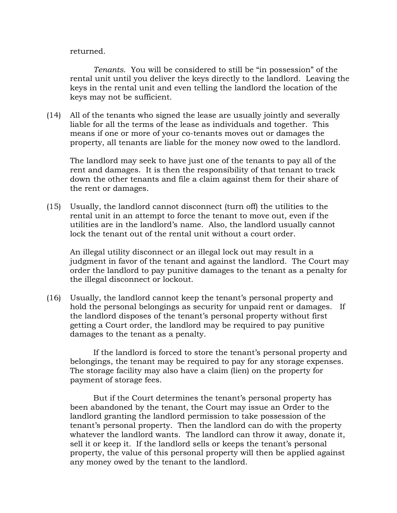returned.

*Tenants*. You will be considered to still be "in possession" of the rental unit until you deliver the keys directly to the landlord. Leaving the keys in the rental unit and even telling the landlord the location of the keys may not be sufficient.

(14) All of the tenants who signed the lease are usually jointly and severally liable for all the terms of the lease as individuals and together. This means if one or more of your co-tenants moves out or damages the property, all tenants are liable for the money now owed to the landlord.

The landlord may seek to have just one of the tenants to pay all of the rent and damages. It is then the responsibility of that tenant to track down the other tenants and file a claim against them for their share of the rent or damages.

(15) Usually, the landlord cannot disconnect (turn off) the utilities to the rental unit in an attempt to force the tenant to move out, even if the utilities are in the landlord's name. Also, the landlord usually cannot lock the tenant out of the rental unit without a court order.

An illegal utility disconnect or an illegal lock out may result in a judgment in favor of the tenant and against the landlord. The Court may order the landlord to pay punitive damages to the tenant as a penalty for the illegal disconnect or lockout.

(16) Usually, the landlord cannot keep the tenant's personal property and hold the personal belongings as security for unpaid rent or damages. If the landlord disposes of the tenant's personal property without first getting a Court order, the landlord may be required to pay punitive damages to the tenant as a penalty.

If the landlord is forced to store the tenant's personal property and belongings, the tenant may be required to pay for any storage expenses. The storage facility may also have a claim (lien) on the property for payment of storage fees.

But if the Court determines the tenant's personal property has been abandoned by the tenant, the Court may issue an Order to the landlord granting the landlord permission to take possession of the tenant's personal property. Then the landlord can do with the property whatever the landlord wants. The landlord can throw it away, donate it, sell it or keep it. If the landlord sells or keeps the tenant's personal property, the value of this personal property will then be applied against any money owed by the tenant to the landlord.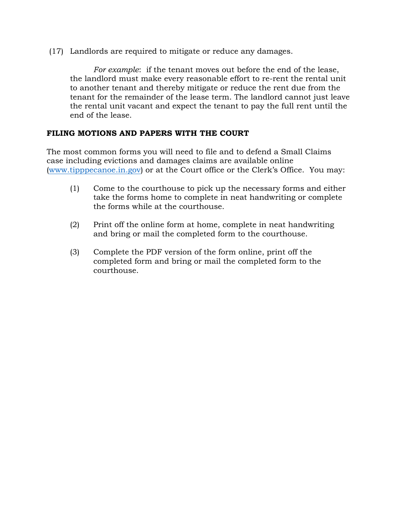(17) Landlords are required to mitigate or reduce any damages.

*For example*: if the tenant moves out before the end of the lease, the landlord must make every reasonable effort to re-rent the rental unit to another tenant and thereby mitigate or reduce the rent due from the tenant for the remainder of the lease term. The landlord cannot just leave the rental unit vacant and expect the tenant to pay the full rent until the end of the lease.

#### **FILING MOTIONS AND PAPERS WITH THE COURT**

The most common forms you will need to file and to defend a Small Claims case including evictions and damages claims are available online [\(www.tipppecanoe.in.gov](http://www.tipppecanoe.in.gov/)) or at the Court office or the Clerk's Office. You may:

- (1) Come to the courthouse to pick up the necessary forms and either take the forms home to complete in neat handwriting or complete the forms while at the courthouse.
- (2) Print off the online form at home, complete in neat handwriting and bring or mail the completed form to the courthouse.
- (3) Complete the PDF version of the form online, print off the completed form and bring or mail the completed form to the courthouse.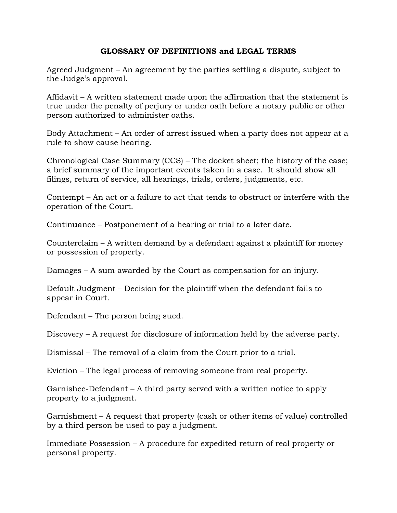#### **GLOSSARY OF DEFINITIONS and LEGAL TERMS**

Agreed Judgment – An agreement by the parties settling a dispute, subject to the Judge's approval.

Affidavit – A written statement made upon the affirmation that the statement is true under the penalty of perjury or under oath before a notary public or other person authorized to administer oaths.

Body Attachment – An order of arrest issued when a party does not appear at a rule to show cause hearing.

Chronological Case Summary (CCS) – The docket sheet; the history of the case; a brief summary of the important events taken in a case. It should show all filings, return of service, all hearings, trials, orders, judgments, etc.

Contempt – An act or a failure to act that tends to obstruct or interfere with the operation of the Court.

Continuance – Postponement of a hearing or trial to a later date.

Counterclaim – A written demand by a defendant against a plaintiff for money or possession of property.

Damages – A sum awarded by the Court as compensation for an injury.

Default Judgment – Decision for the plaintiff when the defendant fails to appear in Court.

Defendant – The person being sued.

Discovery – A request for disclosure of information held by the adverse party.

Dismissal – The removal of a claim from the Court prior to a trial.

Eviction – The legal process of removing someone from real property.

Garnishee-Defendant – A third party served with a written notice to apply property to a judgment.

Garnishment – A request that property (cash or other items of value) controlled by a third person be used to pay a judgment.

Immediate Possession – A procedure for expedited return of real property or personal property.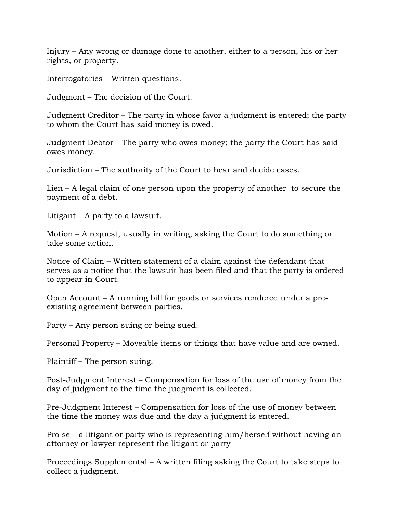Injury – Any wrong or damage done to another, either to a person, his or her rights, or property.

Interrogatories – Written questions.

Judgment – The decision of the Court.

Judgment Creditor – The party in whose favor a judgment is entered; the party to whom the Court has said money is owed.

Judgment Debtor – The party who owes money; the party the Court has said owes money.

Jurisdiction – The authority of the Court to hear and decide cases.

Lien – A legal claim of one person upon the property of another to secure the payment of a debt.

Litigant – A party to a lawsuit.

Motion – A request, usually in writing, asking the Court to do something or take some action.

Notice of Claim – Written statement of a claim against the defendant that serves as a notice that the lawsuit has been filed and that the party is ordered to appear in Court.

Open Account – A running bill for goods or services rendered under a preexisting agreement between parties.

Party – Any person suing or being sued.

Personal Property – Moveable items or things that have value and are owned.

Plaintiff – The person suing.

Post-Judgment Interest – Compensation for loss of the use of money from the day of judgment to the time the judgment is collected.

Pre-Judgment Interest – Compensation for loss of the use of money between the time the money was due and the day a judgment is entered.

Pro se – a litigant or party who is representing him/herself without having an attorney or lawyer represent the litigant or party

Proceedings Supplemental – A written filing asking the Court to take steps to collect a judgment.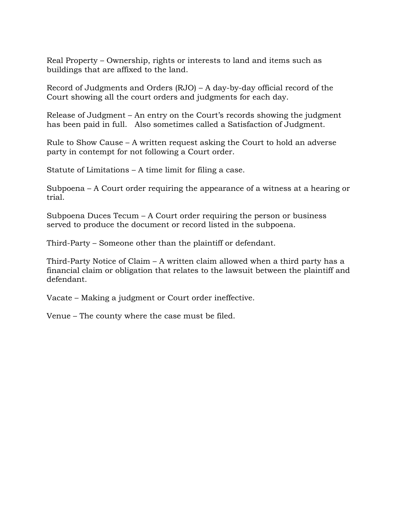Real Property – Ownership, rights or interests to land and items such as buildings that are affixed to the land.

Record of Judgments and Orders (RJO) – A day-by-day official record of the Court showing all the court orders and judgments for each day.

Release of Judgment – An entry on the Court's records showing the judgment has been paid in full. Also sometimes called a Satisfaction of Judgment.

Rule to Show Cause – A written request asking the Court to hold an adverse party in contempt for not following a Court order.

Statute of Limitations – A time limit for filing a case.

Subpoena – A Court order requiring the appearance of a witness at a hearing or trial.

Subpoena Duces Tecum – A Court order requiring the person or business served to produce the document or record listed in the subpoena.

Third-Party – Someone other than the plaintiff or defendant.

Third-Party Notice of Claim – A written claim allowed when a third party has a financial claim or obligation that relates to the lawsuit between the plaintiff and defendant.

Vacate – Making a judgment or Court order ineffective.

Venue – The county where the case must be filed.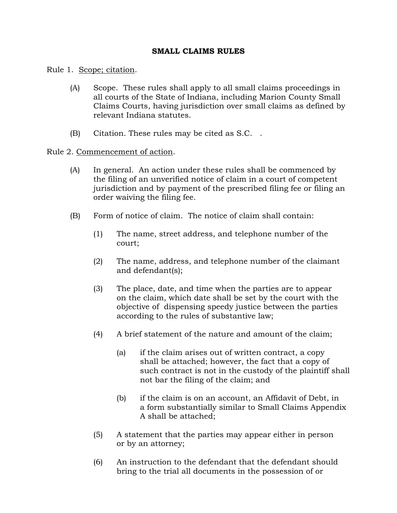#### **SMALL CLAIMS RULES**

Rule 1. Scope; citation.

- (A) Scope. These rules shall apply to all small claims proceedings in all courts of the State of Indiana, including Marion County Small Claims Courts, having jurisdiction over small claims as defined by relevant Indiana statutes.
- (B) Citation. These rules may be cited as S.C. .

#### Rule 2. Commencement of action.

- (A) In general. An action under these rules shall be commenced by the filing of an unverified notice of claim in a court of competent jurisdiction and by payment of the prescribed filing fee or filing an order waiving the filing fee.
- (B) Form of notice of claim. The notice of claim shall contain:
	- (1) The name, street address, and telephone number of the court;
	- (2) The name, address, and telephone number of the claimant and defendant(s);
	- (3) The place, date, and time when the parties are to appear on the claim, which date shall be set by the court with the objective of dispensing speedy justice between the parties according to the rules of substantive law;
	- (4) A brief statement of the nature and amount of the claim;
		- (a) if the claim arises out of written contract, a copy shall be attached; however, the fact that a copy of such contract is not in the custody of the plaintiff shall not bar the filing of the claim; and
		- (b) if the claim is on an account, an Affidavit of Debt, in a form substantially similar to Small Claims Appendix A shall be attached;
	- (5) A statement that the parties may appear either in person or by an attorney;
	- (6) An instruction to the defendant that the defendant should bring to the trial all documents in the possession of or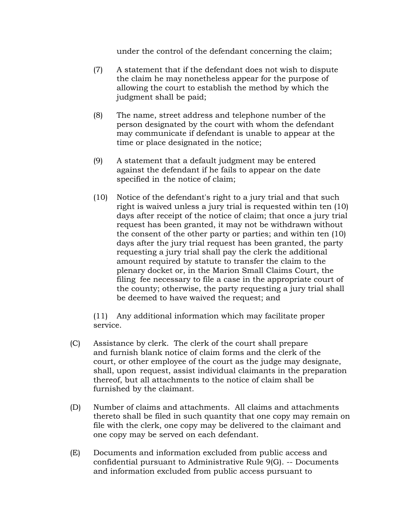under the control of the defendant concerning the claim;

- (7) A statement that if the defendant does not wish to dispute the claim he may nonetheless appear for the purpose of allowing the court to establish the method by which the judgment shall be paid;
- (8) The name, street address and telephone number of the person designated by the court with whom the defendant may communicate if defendant is unable to appear at the time or place designated in the notice;
- (9) A statement that a default judgment may be entered against the defendant if he fails to appear on the date specified in the notice of claim;
- (10) Notice of the defendant's right to a jury trial and that such right is waived unless a jury trial is requested within ten (10) days after receipt of the notice of claim; that once a jury trial request has been granted, it may not be withdrawn without the consent of the other party or parties; and within ten (10) days after the jury trial request has been granted, the party requesting a jury trial shall pay the clerk the additional amount required by statute to transfer the claim to the plenary docket or, in the Marion Small Claims Court, the filing fee necessary to file a case in the appropriate court of the county; otherwise, the party requesting a jury trial shall be deemed to have waived the request; and

(11) Any additional information which may facilitate proper service.

- (C) Assistance by clerk. The clerk of the court shall prepare and furnish blank notice of claim forms and the clerk of the court, or other employee of the court as the judge may designate, shall, upon request, assist individual claimants in the preparation thereof, but all attachments to the notice of claim shall be furnished by the claimant.
- (D) Number of claims and attachments. All claims and attachments thereto shall be filed in such quantity that one copy may remain on file with the clerk, one copy may be delivered to the claimant and one copy may be served on each defendant.
- (E) Documents and information excluded from public access and confidential pursuant to Administrative Rule 9(G). -- Documents and information excluded from public access pursuant to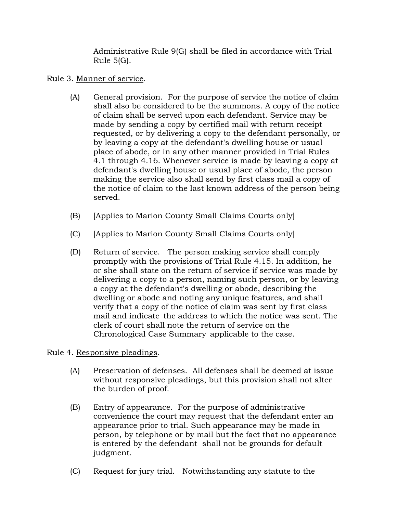Administrative Rule 9(G) shall be filed in accordance with Trial Rule 5(G).

#### Rule 3. Manner of service.

- (A) General provision. For the purpose of service the notice of claim shall also be considered to be the summons. A copy of the notice of claim shall be served upon each defendant. Service may be made by sending a copy by certified mail with return receipt requested, or by delivering a copy to the defendant personally, or by leaving a copy at the defendant's dwelling house or usual place of abode, or in any other manner provided in Trial Rules 4.1 through 4.16. Whenever service is made by leaving a copy at defendant's dwelling house or usual place of abode, the person making the service also shall send by first class mail a copy of the notice of claim to the last known address of the person being served.
- (B) [Applies to Marion County Small Claims Courts only]
- (C) [Applies to Marion County Small Claims Courts only]
- (D) Return of service. The person making service shall comply promptly with the provisions of Trial Rule 4.15. In addition, he or she shall state on the return of service if service was made by delivering a copy to a person, naming such person, or by leaving a copy at the defendant's dwelling or abode, describing the dwelling or abode and noting any unique features, and shall verify that a copy of the notice of claim was sent by first class mail and indicate the address to which the notice was sent. The clerk of court shall note the return of service on the Chronological Case Summary applicable to the case.

Rule 4. Responsive pleadings.

- (A) Preservation of defenses. All defenses shall be deemed at issue without responsive pleadings, but this provision shall not alter the burden of proof.
- (B) Entry of appearance. For the purpose of administrative convenience the court may request that the defendant enter an appearance prior to trial. Such appearance may be made in person, by telephone or by mail but the fact that no appearance is entered by the defendant shall not be grounds for default judgment.
- (C) Request for jury trial. Notwithstanding any statute to the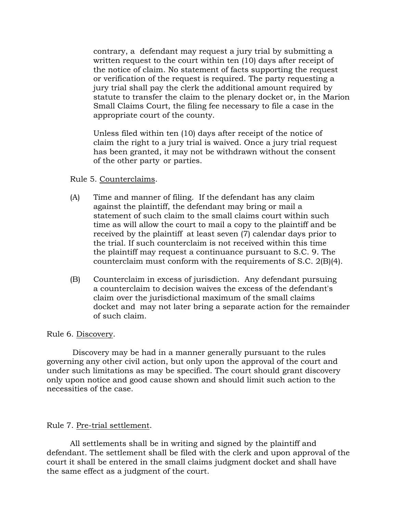contrary, a defendant may request a jury trial by submitting a written request to the court within ten (10) days after receipt of the notice of claim. No statement of facts supporting the request or verification of the request is required. The party requesting a jury trial shall pay the clerk the additional amount required by statute to transfer the claim to the plenary docket or, in the Marion Small Claims Court, the filing fee necessary to file a case in the appropriate court of the county.

Unless filed within ten (10) days after receipt of the notice of claim the right to a jury trial is waived. Once a jury trial request has been granted, it may not be withdrawn without the consent of the other party or parties.

#### Rule 5. Counterclaims.

- (A) Time and manner of filing. If the defendant has any claim against the plaintiff, the defendant may bring or mail a statement of such claim to the small claims court within such time as will allow the court to mail a copy to the plaintiff and be received by the plaintiff at least seven (7) calendar days prior to the trial. If such counterclaim is not received within this time the plaintiff may request a continuance pursuant to S.C. 9. The counterclaim must conform with the requirements of S.C. 2(B)(4).
- (B) Counterclaim in excess of jurisdiction. Any defendant pursuing a counterclaim to decision waives the excess of the defendant's claim over the jurisdictional maximum of the small claims docket and may not later bring a separate action for the remainder of such claim.

#### Rule 6. Discovery.

Discovery may be had in a manner generally pursuant to the rules governing any other civil action, but only upon the approval of the court and under such limitations as may be specified. The court should grant discovery only upon notice and good cause shown and should limit such action to the necessities of the case.

#### Rule 7. Pre-trial settlement.

All settlements shall be in writing and signed by the plaintiff and defendant. The settlement shall be filed with the clerk and upon approval of the court it shall be entered in the small claims judgment docket and shall have the same effect as a judgment of the court.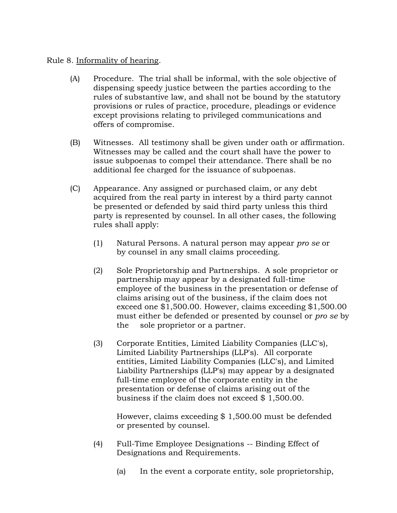#### Rule 8. Informality of hearing.

- (A) Procedure. The trial shall be informal, with the sole objective of dispensing speedy justice between the parties according to the rules of substantive law, and shall not be bound by the statutory provisions or rules of practice, procedure, pleadings or evidence except provisions relating to privileged communications and offers of compromise.
- (B) Witnesses. All testimony shall be given under oath or affirmation. Witnesses may be called and the court shall have the power to issue subpoenas to compel their attendance. There shall be no additional fee charged for the issuance of subpoenas.
- (C) Appearance. Any assigned or purchased claim, or any debt acquired from the real party in interest by a third party cannot be presented or defended by said third party unless this third party is represented by counsel. In all other cases, the following rules shall apply:
	- (1) Natural Persons. A natural person may appear *pro se* or by counsel in any small claims proceeding.
	- (2) Sole Proprietorship and Partnerships. A sole proprietor or partnership may appear by a designated full-time employee of the business in the presentation or defense of claims arising out of the business, if the claim does not exceed one \$1,500.00. However, claims exceeding \$1,500.00 must either be defended or presented by counsel or *pro se* by the sole proprietor or a partner.
	- (3) Corporate Entities, Limited Liability Companies (LLC's), Limited Liability Partnerships (LLP's). All corporate entities, Limited Liability Companies (LLC's), and Limited Liability Partnerships (LLP's) may appear by a designated full-time employee of the corporate entity in the presentation or defense of claims arising out of the business if the claim does not exceed \$ 1,500.00.

However, claims exceeding \$ 1,500.00 must be defended or presented by counsel.

- (4) Full-Time Employee Designations -- Binding Effect of Designations and Requirements.
	- (a) In the event a corporate entity, sole proprietorship,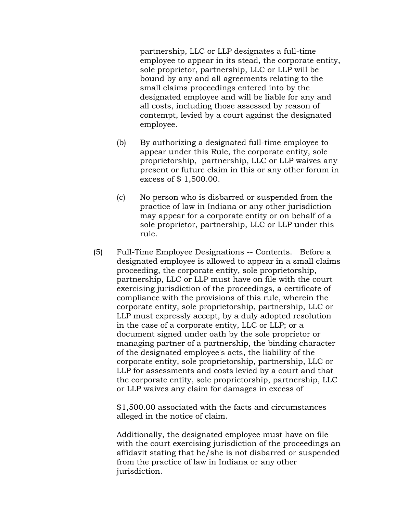partnership, LLC or LLP designates a full-time employee to appear in its stead, the corporate entity, sole proprietor, partnership, LLC or LLP will be bound by any and all agreements relating to the small claims proceedings entered into by the designated employee and will be liable for any and all costs, including those assessed by reason of contempt, levied by a court against the designated employee.

- (b) By authorizing a designated full-time employee to appear under this Rule, the corporate entity, sole proprietorship, partnership, LLC or LLP waives any present or future claim in this or any other forum in excess of \$ 1,500.00.
- (c) No person who is disbarred or suspended from the practice of law in Indiana or any other jurisdiction may appear for a corporate entity or on behalf of a sole proprietor, partnership, LLC or LLP under this rule.
- (5) Full-Time Employee Designations -- Contents. Before a designated employee is allowed to appear in a small claims proceeding, the corporate entity, sole proprietorship, partnership, LLC or LLP must have on file with the court exercising jurisdiction of the proceedings, a certificate of compliance with the provisions of this rule, wherein the corporate entity, sole proprietorship, partnership, LLC or LLP must expressly accept, by a duly adopted resolution in the case of a corporate entity, LLC or LLP; or a document signed under oath by the sole proprietor or managing partner of a partnership, the binding character of the designated employee's acts, the liability of the corporate entity, sole proprietorship, partnership, LLC or LLP for assessments and costs levied by a court and that the corporate entity, sole proprietorship, partnership, LLC or LLP waives any claim for damages in excess of

\$1,500.00 associated with the facts and circumstances alleged in the notice of claim.

Additionally, the designated employee must have on file with the court exercising jurisdiction of the proceedings an affidavit stating that he/she is not disbarred or suspended from the practice of law in Indiana or any other jurisdiction.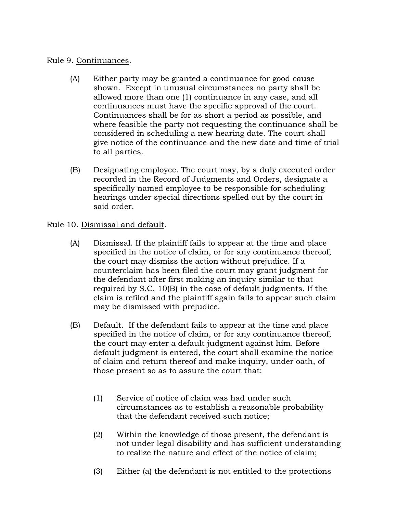#### Rule 9. Continuances.

- (A) Either party may be granted a continuance for good cause shown. Except in unusual circumstances no party shall be allowed more than one (1) continuance in any case, and all continuances must have the specific approval of the court. Continuances shall be for as short a period as possible, and where feasible the party not requesting the continuance shall be considered in scheduling a new hearing date. The court shall give notice of the continuance and the new date and time of trial to all parties.
- (B) Designating employee. The court may, by a duly executed order recorded in the Record of Judgments and Orders, designate a specifically named employee to be responsible for scheduling hearings under special directions spelled out by the court in said order.

#### Rule 10. Dismissal and default.

- (A) Dismissal. If the plaintiff fails to appear at the time and place specified in the notice of claim, or for any continuance thereof, the court may dismiss the action without prejudice. If a counterclaim has been filed the court may grant judgment for the defendant after first making an inquiry similar to that required by S.C. 10(B) in the case of default judgments. If the claim is refiled and the plaintiff again fails to appear such claim may be dismissed with prejudice.
- (B) Default. If the defendant fails to appear at the time and place specified in the notice of claim, or for any continuance thereof, the court may enter a default judgment against him. Before default judgment is entered, the court shall examine the notice of claim and return thereof and make inquiry, under oath, of those present so as to assure the court that:
	- (1) Service of notice of claim was had under such circumstances as to establish a reasonable probability that the defendant received such notice;
	- (2) Within the knowledge of those present, the defendant is not under legal disability and has sufficient understanding to realize the nature and effect of the notice of claim;
	- (3) Either (a) the defendant is not entitled to the protections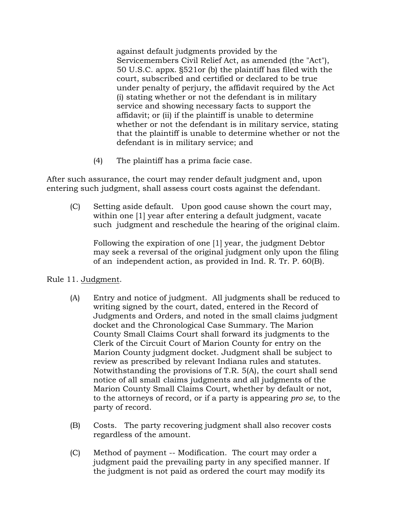against default judgments provided by the Servicemembers Civil Relief Act, as amended (the "Act"), 50 U.S.C. appx. §521or (b) the plaintiff has filed with the court, subscribed and certified or declared to be true under penalty of perjury, the affidavit required by the Act (i) stating whether or not the defendant is in military service and showing necessary facts to support the affidavit; or (ii) if the plaintiff is unable to determine whether or not the defendant is in military service, stating that the plaintiff is unable to determine whether or not the defendant is in military service; and

(4) The plaintiff has a prima facie case.

After such assurance, the court may render default judgment and, upon entering such judgment, shall assess court costs against the defendant.

(C) Setting aside default. Upon good cause shown the court may, within one [1] year after entering a default judgment, vacate such judgment and reschedule the hearing of the original claim.

Following the expiration of one [1] year, the judgment Debtor may seek a reversal of the original judgment only upon the filing of an independent action, as provided in Ind. R. Tr. P. 60(B).

#### Rule 11. Judgment.

- (A) Entry and notice of judgment. All judgments shall be reduced to writing signed by the court, dated, entered in the Record of Judgments and Orders, and noted in the small claims judgment docket and the Chronological Case Summary. The Marion County Small Claims Court shall forward its judgments to the Clerk of the Circuit Court of Marion County for entry on the Marion County judgment docket. Judgment shall be subject to review as prescribed by relevant Indiana rules and statutes. Notwithstanding the provisions of T.R. 5(A), the court shall send notice of all small claims judgments and all judgments of the Marion County Small Claims Court, whether by default or not, to the attorneys of record, or if a party is appearing *pro se*, to the party of record.
- (B) Costs. The party recovering judgment shall also recover costs regardless of the amount.
- (C) Method of payment -- Modification. The court may order a judgment paid the prevailing party in any specified manner. If the judgment is not paid as ordered the court may modify its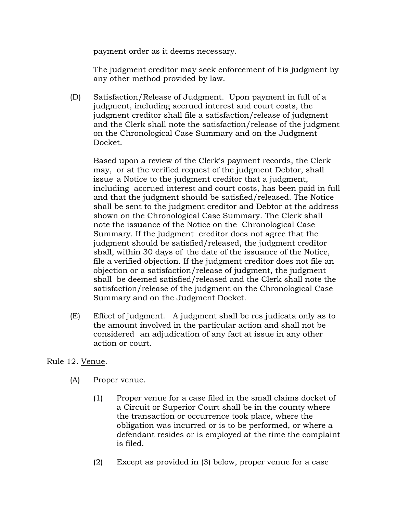payment order as it deems necessary.

The judgment creditor may seek enforcement of his judgment by any other method provided by law.

(D) Satisfaction/Release of Judgment. Upon payment in full of a judgment, including accrued interest and court costs, the judgment creditor shall file a satisfaction/release of judgment and the Clerk shall note the satisfaction/release of the judgment on the Chronological Case Summary and on the Judgment Docket.

Based upon a review of the Clerk's payment records, the Clerk may, or at the verified request of the judgment Debtor, shall issue a Notice to the judgment creditor that a judgment, including accrued interest and court costs, has been paid in full and that the judgment should be satisfied/released. The Notice shall be sent to the judgment creditor and Debtor at the address shown on the Chronological Case Summary. The Clerk shall note the issuance of the Notice on the Chronological Case Summary. If the judgment creditor does not agree that the judgment should be satisfied/released, the judgment creditor shall, within 30 days of the date of the issuance of the Notice, file a verified objection. If the judgment creditor does not file an objection or a satisfaction/release of judgment, the judgment shall be deemed satisfied/released and the Clerk shall note the satisfaction/release of the judgment on the Chronological Case Summary and on the Judgment Docket.

(E) Effect of judgment. A judgment shall be res judicata only as to the amount involved in the particular action and shall not be considered an adjudication of any fact at issue in any other action or court.

# Rule 12. Venue.

- (A) Proper venue.
	- (1) Proper venue for a case filed in the small claims docket of a Circuit or Superior Court shall be in the county where the transaction or occurrence took place, where the obligation was incurred or is to be performed, or where a defendant resides or is employed at the time the complaint is filed.
	- (2) Except as provided in (3) below, proper venue for a case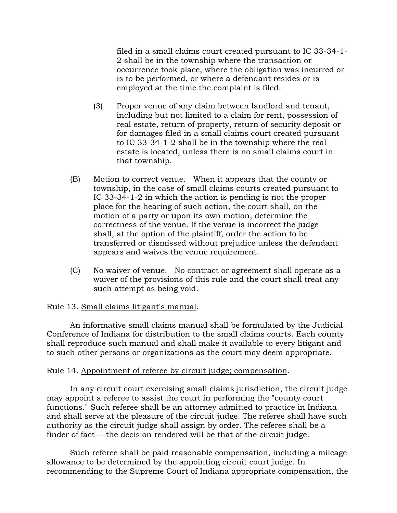filed in a small claims court created pursuant to IC 33-34-1- 2 shall be in the township where the transaction or occurrence took place, where the obligation was incurred or is to be performed, or where a defendant resides or is employed at the time the complaint is filed.

- (3) Proper venue of any claim between landlord and tenant, including but not limited to a claim for rent, possession of real estate, return of property, return of security deposit or for damages filed in a small claims court created pursuant to IC 33-34-1-2 shall be in the township where the real estate is located, unless there is no small claims court in that township.
- (B) Motion to correct venue. When it appears that the county or township, in the case of small claims courts created pursuant to IC 33-34-1-2 in which the action is pending is not the proper place for the hearing of such action, the court shall, on the motion of a party or upon its own motion, determine the correctness of the venue. If the venue is incorrect the judge shall, at the option of the plaintiff, order the action to be transferred or dismissed without prejudice unless the defendant appears and waives the venue requirement.
- (C) No waiver of venue. No contract or agreement shall operate as a waiver of the provisions of this rule and the court shall treat any such attempt as being void.

#### Rule 13. Small claims litigant's manual.

An informative small claims manual shall be formulated by the Judicial Conference of Indiana for distribution to the small claims courts. Each county shall reproduce such manual and shall make it available to every litigant and to such other persons or organizations as the court may deem appropriate.

#### Rule 14. Appointment of referee by circuit judge; compensation.

In any circuit court exercising small claims jurisdiction, the circuit judge may appoint a referee to assist the court in performing the "county court functions." Such referee shall be an attorney admitted to practice in Indiana and shall serve at the pleasure of the circuit judge. The referee shall have such authority as the circuit judge shall assign by order. The referee shall be a finder of fact -- the decision rendered will be that of the circuit judge.

Such referee shall be paid reasonable compensation, including a mileage allowance to be determined by the appointing circuit court judge. In recommending to the Supreme Court of Indiana appropriate compensation, the